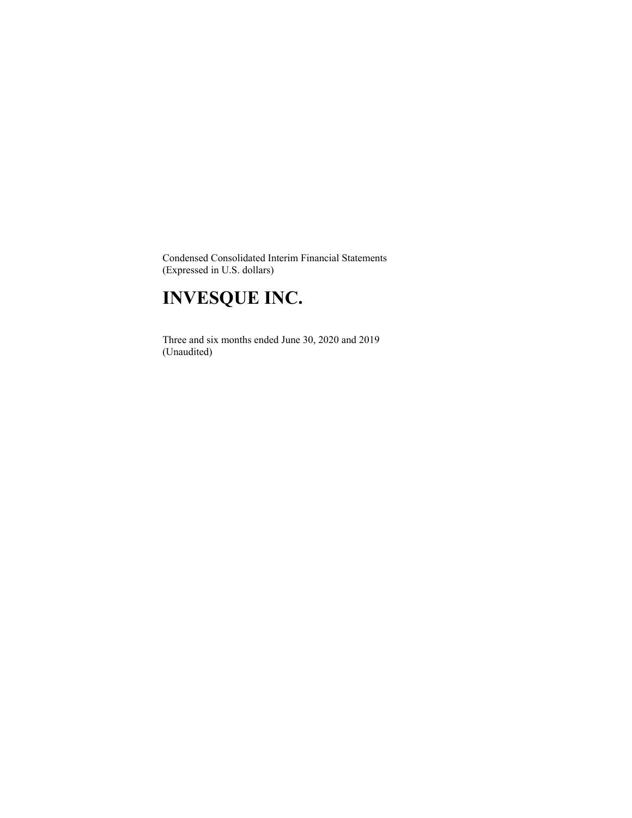Condensed Consolidated Interim Financial Statements (Expressed in U.S. dollars)

# **INVESQUE INC.**

 Three and six months ended June 30, 2020 and 2019 (Unaudited)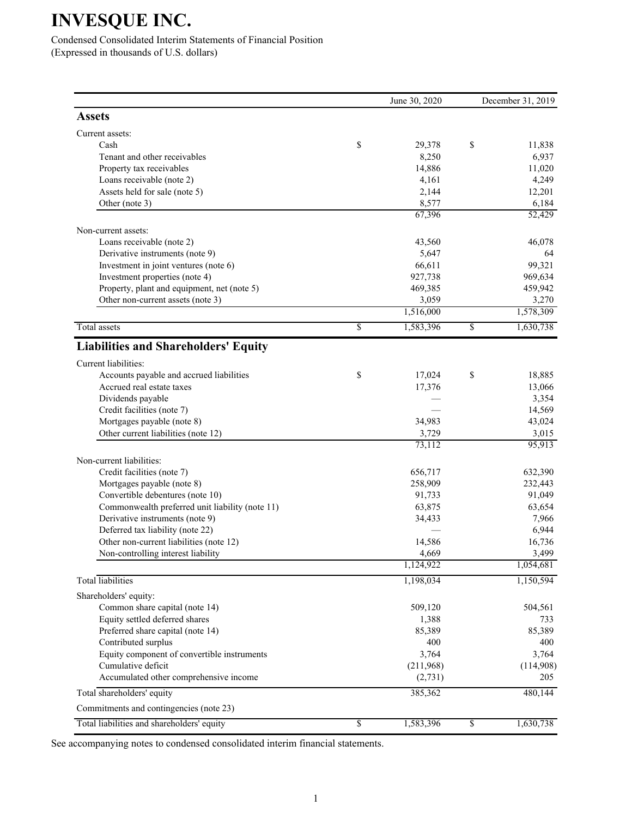Condensed Consolidated Interim Statements of Financial Position (Expressed in thousands of U.S. dollars)

|                                                 |                 | June 30, 2020   | December 31, 2019 |
|-------------------------------------------------|-----------------|-----------------|-------------------|
| <b>Assets</b>                                   |                 |                 |                   |
| Current assets:                                 |                 |                 |                   |
| Cash                                            | \$              | 29,378          | \$<br>11,838      |
| Tenant and other receivables                    |                 | 8,250           | 6,937             |
| Property tax receivables                        |                 | 14,886          | 11,020            |
| Loans receivable (note 2)                       |                 | 4,161           | 4,249             |
| Assets held for sale (note 5)                   |                 | 2,144           | 12,201            |
| Other (note 3)                                  |                 | 8,577<br>67,396 | 6,184<br>52,429   |
| Non-current assets:                             |                 |                 |                   |
| Loans receivable (note 2)                       |                 | 43,560          | 46,078            |
| Derivative instruments (note 9)                 |                 | 5,647           | 64                |
| Investment in joint ventures (note 6)           |                 | 66,611          | 99,321            |
| Investment properties (note 4)                  |                 | 927,738         | 969,634           |
| Property, plant and equipment, net (note 5)     |                 | 469,385         | 459,942           |
| Other non-current assets (note 3)               |                 | 3,059           | 3,270             |
|                                                 |                 | 1,516,000       | 1,578,309         |
| <b>Total assets</b>                             | $\overline{\$}$ | 1,583,396       | \$<br>1,630,738   |
| <b>Liabilities and Shareholders' Equity</b>     |                 |                 |                   |
| Current liabilities:                            |                 |                 |                   |
| Accounts payable and accrued liabilities        | \$              | 17,024          | \$<br>18,885      |
| Accrued real estate taxes                       |                 | 17,376          | 13,066            |
| Dividends payable                               |                 |                 | 3,354             |
| Credit facilities (note 7)                      |                 |                 | 14,569            |
| Mortgages payable (note 8)                      |                 | 34,983          | 43,024            |
| Other current liabilities (note 12)             |                 | 3,729           | 3,015             |
|                                                 |                 | 73,112          | 95,913            |
| Non-current liabilities:                        |                 |                 |                   |
| Credit facilities (note 7)                      |                 | 656,717         | 632,390           |
| Mortgages payable (note 8)                      |                 | 258,909         | 232,443           |
| Convertible debentures (note 10)                |                 | 91,733          | 91,049            |
| Commonwealth preferred unit liability (note 11) |                 | 63,875          | 63,654            |
| Derivative instruments (note 9)                 |                 | 34,433          | 7,966             |
| Deferred tax liability (note 22)                |                 |                 | 6,944             |
| Other non-current liabilities (note 12)         |                 | 14,586          | 16,736            |
| Non-controlling interest liability              |                 | 4,669           | 3,499             |
|                                                 |                 | 1,124,922       | 1,054,681         |
| <b>Total</b> liabilities                        |                 | 1,198,034       | 1,150,594         |
| Shareholders' equity:                           |                 |                 |                   |
| Common share capital (note 14)                  |                 | 509,120         | 504,561           |
| Equity settled deferred shares                  |                 | 1,388           | 733               |
| Preferred share capital (note 14)               |                 | 85,389          | 85,389            |
| Contributed surplus                             |                 | 400             | 400               |
| Equity component of convertible instruments     |                 | 3,764           | 3,764             |
| Cumulative deficit                              |                 | (211,968)       | (114,908)         |
| Accumulated other comprehensive income          |                 | (2, 731)        | 205               |
| Total shareholders' equity                      |                 | 385,362         | 480,144           |
| Commitments and contingencies (note 23)         |                 |                 |                   |
| Total liabilities and shareholders' equity      | \$              | 1,583,396       | \$<br>1,630,738   |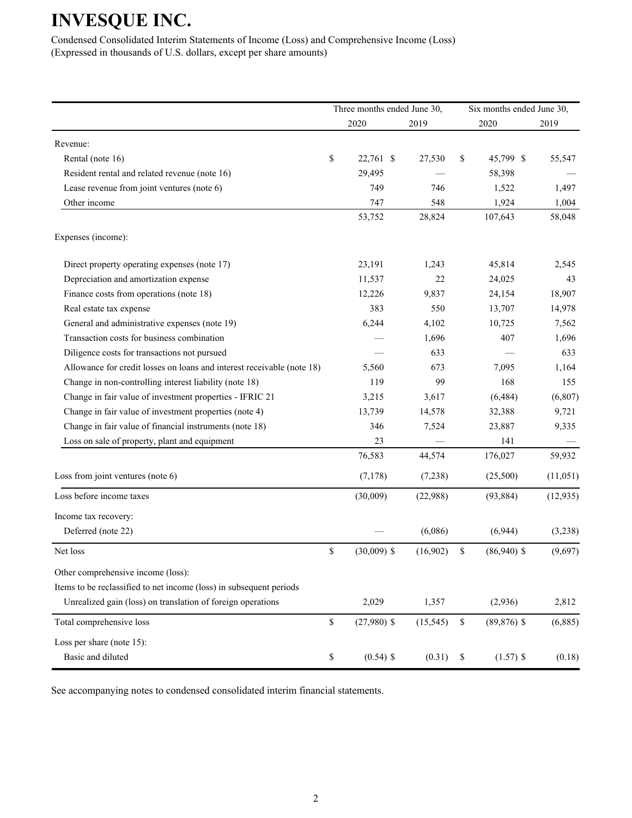Condensed Consolidated Interim Statements of Income (Loss) and Comprehensive Income (Loss) (Expressed in thousands of U.S. dollars, except per share amounts)

|                                                                        |             | Three months ended June 30, |           |             | Six months ended June 30, |           |  |
|------------------------------------------------------------------------|-------------|-----------------------------|-----------|-------------|---------------------------|-----------|--|
|                                                                        |             | 2020                        | 2019      |             | 2020                      | 2019      |  |
| Revenue:                                                               |             |                             |           |             |                           |           |  |
| Rental (note 16)                                                       | \$          | 22,761 \$                   | 27,530    | \$          | 45,799 \$                 | 55,547    |  |
| Resident rental and related revenue (note 16)                          |             | 29,495                      |           |             | 58,398                    |           |  |
| Lease revenue from joint ventures (note 6)                             |             | 749                         | 746       |             | 1,522                     | 1,497     |  |
| Other income                                                           |             | 747                         | 548       |             | 1,924                     | 1,004     |  |
|                                                                        |             | 53,752                      | 28,824    |             | 107,643                   | 58,048    |  |
| Expenses (income):                                                     |             |                             |           |             |                           |           |  |
| Direct property operating expenses (note 17)                           |             | 23,191                      | 1,243     |             | 45,814                    | 2,545     |  |
| Depreciation and amortization expense                                  |             | 11,537                      | 22        |             | 24,025                    | 43        |  |
| Finance costs from operations (note 18)                                |             | 12,226                      | 9,837     |             | 24,154                    | 18,907    |  |
| Real estate tax expense                                                |             | 383                         | 550       |             | 13,707                    | 14,978    |  |
| General and administrative expenses (note 19)                          |             | 6,244                       | 4,102     |             | 10,725                    | 7,562     |  |
| Transaction costs for business combination                             |             |                             | 1,696     |             | 407                       | 1,696     |  |
| Diligence costs for transactions not pursued                           |             |                             | 633       |             |                           | 633       |  |
| Allowance for credit losses on loans and interest receivable (note 18) |             | 5,560                       | 673       |             | 7,095                     | 1,164     |  |
| Change in non-controlling interest liability (note 18)                 |             | 119                         | 99        |             | 168                       | 155       |  |
| Change in fair value of investment properties - IFRIC 21               |             | 3,215                       | 3,617     |             | (6, 484)                  | (6, 807)  |  |
| Change in fair value of investment properties (note 4)                 |             | 13,739                      | 14,578    |             | 32,388                    | 9,721     |  |
| Change in fair value of financial instruments (note 18)                |             | 346                         | 7,524     |             | 23,887                    | 9,335     |  |
| Loss on sale of property, plant and equipment                          |             | 23                          |           |             | 141                       |           |  |
|                                                                        |             | 76,583                      | 44,574    |             | 176,027                   | 59,932    |  |
| Loss from joint ventures (note 6)                                      |             | (7, 178)                    | (7,238)   |             | (25,500)                  | (11, 051) |  |
| Loss before income taxes                                               |             | (30,009)                    | (22,988)  |             | (93, 884)                 | (12, 935) |  |
| Income tax recovery:                                                   |             |                             |           |             |                           |           |  |
| Deferred (note 22)                                                     |             |                             | (6,086)   |             | (6,944)                   | (3,238)   |  |
| Net loss                                                               | \$          | $(30,009)$ \$               | (16,902)  | \$          | $(86,940)$ \$             | (9,697)   |  |
| Other comprehensive income (loss):                                     |             |                             |           |             |                           |           |  |
| Items to be reclassified to net income (loss) in subsequent periods    |             |                             |           |             |                           |           |  |
| Unrealized gain (loss) on translation of foreign operations            |             | 2,029                       | 1,357     |             | (2,936)                   | 2,812     |  |
| Total comprehensive loss                                               | $\mathbb S$ | $(27,980)$ \$               | (15, 545) | $\mathbb S$ | $(89, 876)$ \$            | (6,885)   |  |
| Loss per share (note 15):                                              |             |                             |           |             |                           |           |  |
| Basic and diluted                                                      | $\$$        | $(0.54)$ \$                 | (0.31)    | $\mathbb S$ | $(1.57)$ \$               | (0.18)    |  |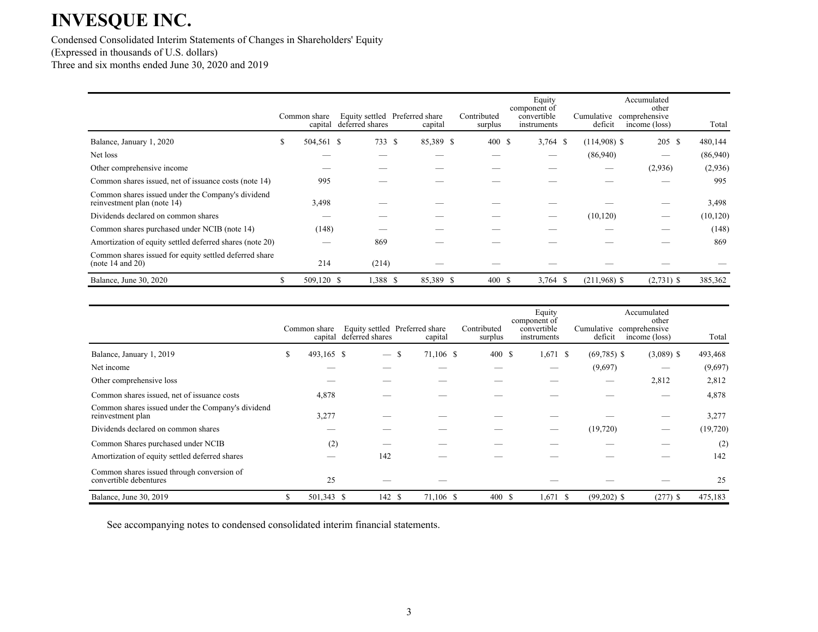Condensed Consolidated Interim Statements of Changes in Shareholders' Equity (Expressed in thousands of U.S. dollars) Three and six months ended June 30, 2020 and 2019

|                                                                                  | Common share<br>capital | deferred shares | Equity settled Preferred share<br>capital | Contributed<br>surplus | Equity<br>component of<br>convertible<br>instruments | deficit        | Accumulated<br>other<br>Cumulative comprehensive<br>income (loss) | Total     |
|----------------------------------------------------------------------------------|-------------------------|-----------------|-------------------------------------------|------------------------|------------------------------------------------------|----------------|-------------------------------------------------------------------|-----------|
| Balance, January 1, 2020                                                         | \$<br>504,561 \$        | 733 S           | 85,389 \$                                 | 400S                   | $3,764$ \$                                           | $(114,908)$ \$ | 205 \$                                                            | 480,144   |
| Net loss                                                                         |                         |                 |                                           |                        | __                                                   | (86,940)       |                                                                   | (86,940)  |
| Other comprehensive income                                                       |                         |                 |                                           |                        |                                                      |                | (2,936)                                                           | (2,936)   |
| Common shares issued, net of issuance costs (note 14)                            | 995                     |                 |                                           |                        |                                                      |                |                                                                   | 995       |
| Common shares issued under the Company's dividend<br>reinvestment plan (note 14) | 3,498                   |                 |                                           |                        |                                                      |                |                                                                   | 3,498     |
| Dividends declared on common shares                                              |                         |                 |                                           |                        |                                                      | (10, 120)      |                                                                   | (10, 120) |
| Common shares purchased under NCIB (note 14)                                     | (148)                   |                 |                                           |                        |                                                      |                |                                                                   | (148)     |
| Amortization of equity settled deferred shares (note 20)                         |                         | 869             |                                           |                        |                                                      |                |                                                                   | 869       |
| Common shares issued for equity settled deferred share<br>(note 14 and 20)       | 214                     | (214)           |                                           |                        |                                                      |                |                                                                   |           |
| Balance, June 30, 2020                                                           | 509,120 \$              | 1,388 \$        | 85,389 \$                                 | 400S                   | $3,764$ \$                                           | $(211,968)$ \$ | $(2,731)$ \$                                                      | 385,362   |

|                                                                        |    | Common share<br>capital | deferred shares                 | Equity settled Preferred share<br>capital | Contributed<br>surplus | Equity<br>component of<br>convertible<br>instruments |          | deficit       | Accumulated<br>other<br>Cumulative comprehensive<br>income (loss) | Total    |
|------------------------------------------------------------------------|----|-------------------------|---------------------------------|-------------------------------------------|------------------------|------------------------------------------------------|----------|---------------|-------------------------------------------------------------------|----------|
| Balance, January 1, 2019                                               | \$ | 493,165 \$              | $\hspace{0.1mm}-\hspace{0.1mm}$ | 71,106 \$<br>-S                           | 400 \$                 | $1,671$ \$                                           |          | $(69,785)$ \$ | $(3,089)$ \$                                                      | 493,468  |
| Net income                                                             |    |                         |                                 |                                           |                        |                                                      |          | (9,697)       |                                                                   | (9,697)  |
| Other comprehensive loss                                               |    |                         |                                 |                                           |                        |                                                      |          |               | 2,812                                                             | 2,812    |
| Common shares issued, net of issuance costs                            |    | 4,878                   |                                 |                                           |                        |                                                      |          |               |                                                                   | 4,878    |
| Common shares issued under the Company's dividend<br>reinvestment plan |    | 3,277                   |                                 |                                           |                        |                                                      |          |               |                                                                   | 3,277    |
| Dividends declared on common shares                                    |    |                         |                                 |                                           |                        |                                                      | (19,720) |               |                                                                   | (19,720) |
| Common Shares purchased under NCIB                                     |    | (2)                     |                                 |                                           |                        |                                                      |          |               |                                                                   | (2)      |
| Amortization of equity settled deferred shares                         |    |                         | 142                             |                                           |                        |                                                      |          |               |                                                                   | 142      |
| Common shares issued through conversion of<br>convertible debentures   |    | 25                      |                                 |                                           |                        |                                                      |          |               |                                                                   | 25       |
| Balance, June 30, 2019                                                 | S  | 501,343 \$              | 142 \$                          | 71,106 \$                                 | 400 \$                 | $1,671$ \$                                           |          | $(99,202)$ \$ | $(277)$ \$                                                        | 475,183  |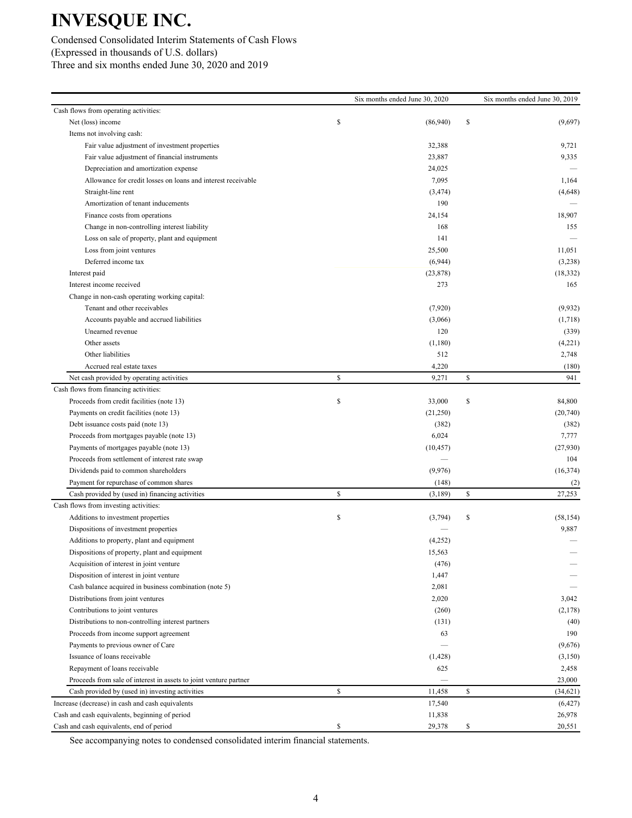Condensed Consolidated Interim Statements of Cash Flows (Expressed in thousands of U.S. dollars) Three and six months ended June 30, 2020 and 2019

|                                                                   |              | Six months ended June 30, 2020 | Six months ended June 30, 2019 |
|-------------------------------------------------------------------|--------------|--------------------------------|--------------------------------|
| Cash flows from operating activities:                             |              |                                |                                |
| Net (loss) income                                                 | \$           | (86,940)                       | \$<br>(9,697)                  |
| Items not involving cash:                                         |              |                                |                                |
| Fair value adjustment of investment properties                    |              | 32,388                         | 9,721                          |
| Fair value adjustment of financial instruments                    |              | 23,887                         | 9,335                          |
| Depreciation and amortization expense                             |              | 24,025                         |                                |
| Allowance for credit losses on loans and interest receivable      |              | 7,095                          | 1,164                          |
| Straight-line rent                                                |              | (3, 474)                       | (4,648)                        |
| Amortization of tenant inducements                                |              | 190                            |                                |
| Finance costs from operations                                     |              | 24,154                         | 18,907                         |
| Change in non-controlling interest liability                      |              | 168                            | 155                            |
| Loss on sale of property, plant and equipment                     |              | 141                            |                                |
| Loss from joint ventures                                          |              | 25,500                         | 11,051                         |
| Deferred income tax                                               |              | (6,944)                        | (3,238)                        |
| Interest paid                                                     |              | (23, 878)                      | (18, 332)                      |
| Interest income received                                          |              | 273                            | 165                            |
| Change in non-cash operating working capital:                     |              |                                |                                |
| Tenant and other receivables                                      |              | (7,920)                        | (9,932)                        |
| Accounts payable and accrued liabilities                          |              | (3,066)                        | (1,718)                        |
| Unearned revenue                                                  |              | 120                            | (339)                          |
| Other assets                                                      |              | (1,180)                        | (4,221)                        |
| Other liabilities                                                 |              | 512                            | 2,748                          |
| Accrued real estate taxes                                         |              | 4,220                          | (180)                          |
| Net cash provided by operating activities                         | \$           | 9,271                          | \$<br>941                      |
| Cash flows from financing activities:                             |              |                                |                                |
| Proceeds from credit facilities (note 13)                         | \$           | 33,000                         | \$<br>84,800                   |
| Payments on credit facilities (note 13)                           |              | (21,250)                       | (20,740)                       |
| Debt issuance costs paid (note 13)                                |              | (382)                          | (382)                          |
| Proceeds from mortgages payable (note 13)                         |              | 6,024                          | 7,777                          |
| Payments of mortgages payable (note 13)                           |              | (10, 457)                      | (27,930)                       |
| Proceeds from settlement of interest rate swap                    |              |                                | 104                            |
| Dividends paid to common shareholders                             |              | (9,976)                        | (16, 374)                      |
| Payment for repurchase of common shares                           |              | (148)                          | (2)                            |
| Cash provided by (used in) financing activities                   | $\mathbb{S}$ | (3,189)                        | \$<br>27,253                   |
| Cash flows from investing activities:                             |              |                                |                                |
| Additions to investment properties                                | \$           | (3,794)                        | \$<br>(58, 154)                |
| Dispositions of investment properties                             |              |                                | 9,887                          |
| Additions to property, plant and equipment                        |              | (4,252)                        |                                |
| Dispositions of property, plant and equipment                     |              | 15,563                         |                                |
| Acquisition of interest in joint venture                          |              | (476)                          |                                |
| Disposition of interest in joint venture                          |              | 1,447                          |                                |
| Cash balance acquired in business combination (note 5)            |              | 2,081                          |                                |
| Distributions from joint ventures                                 |              | 2,020                          | 3,042                          |
| Contributions to joint ventures                                   |              | (260)                          | (2,178)                        |
| Distributions to non-controlling interest partners                |              | (131)                          | (40)                           |
| Proceeds from income support agreement                            |              | 63                             | 190                            |
| Payments to previous owner of Care                                |              |                                | (9,676)                        |
| Issuance of loans receivable                                      |              | (1,428)                        | (3,150)                        |
| Repayment of loans receivable                                     |              | 625                            | 2,458                          |
| Proceeds from sale of interest in assets to joint venture partner |              |                                | 23,000                         |
| Cash provided by (used in) investing activities                   | \$           | 11,458                         | \$<br>(34, 621)                |
| Increase (decrease) in cash and cash equivalents                  |              | 17,540                         | (6, 427)                       |
| Cash and cash equivalents, beginning of period                    |              | 11,838                         | 26,978                         |
| Cash and cash equivalents, end of period                          | \$           | 29,378                         | \$<br>20,551                   |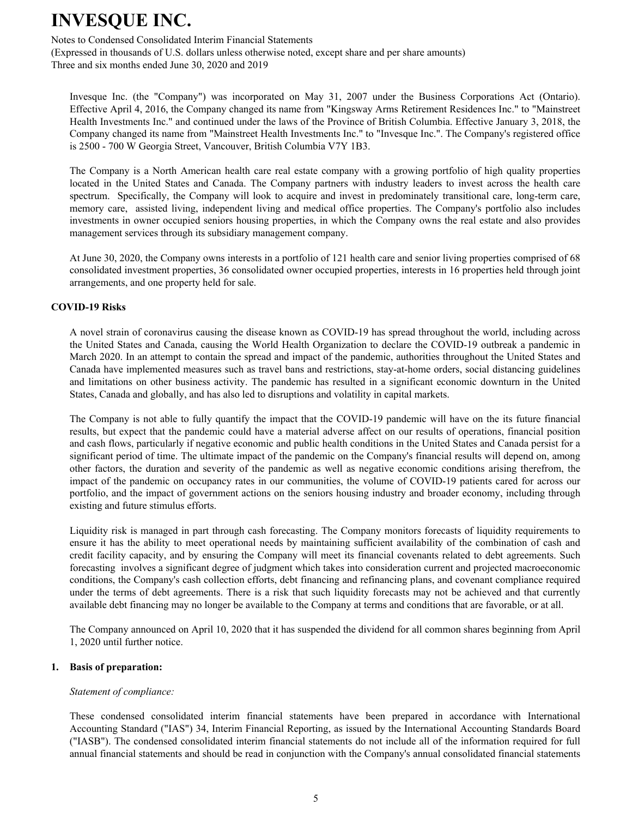Notes to Condensed Consolidated Interim Financial Statements

(Expressed in thousands of U.S. dollars unless otherwise noted, except share and per share amounts) Three and six months ended June 30, 2020 and 2019

Invesque Inc. (the "Company") was incorporated on May 31, 2007 under the Business Corporations Act (Ontario). Effective April 4, 2016, the Company changed its name from "Kingsway Arms Retirement Residences Inc." to "Mainstreet Health Investments Inc." and continued under the laws of the Province of British Columbia. Effective January 3, 2018, the Company changed its name from "Mainstreet Health Investments Inc." to "Invesque Inc.". The Company's registered office is 2500 - 700 W Georgia Street, Vancouver, British Columbia V7Y 1B3.

The Company is a North American health care real estate company with a growing portfolio of high quality properties located in the United States and Canada. The Company partners with industry leaders to invest across the health care spectrum. Specifically, the Company will look to acquire and invest in predominately transitional care, long-term care, memory care, assisted living, independent living and medical office properties. The Company's portfolio also includes investments in owner occupied seniors housing properties, in which the Company owns the real estate and also provides management services through its subsidiary management company.

At June 30, 2020, the Company owns interests in a portfolio of 121 health care and senior living properties comprised of 68 consolidated investment properties, 36 consolidated owner occupied properties, interests in 16 properties held through joint arrangements, and one property held for sale.

### **COVID-19 Risks**

A novel strain of coronavirus causing the disease known as COVID-19 has spread throughout the world, including across the United States and Canada, causing the World Health Organization to declare the COVID-19 outbreak a pandemic in March 2020. In an attempt to contain the spread and impact of the pandemic, authorities throughout the United States and Canada have implemented measures such as travel bans and restrictions, stay-at-home orders, social distancing guidelines and limitations on other business activity. The pandemic has resulted in a significant economic downturn in the United States, Canada and globally, and has also led to disruptions and volatility in capital markets.

The Company is not able to fully quantify the impact that the COVID-19 pandemic will have on the its future financial results, but expect that the pandemic could have a material adverse affect on our results of operations, financial position and cash flows, particularly if negative economic and public health conditions in the United States and Canada persist for a significant period of time. The ultimate impact of the pandemic on the Company's financial results will depend on, among other factors, the duration and severity of the pandemic as well as negative economic conditions arising therefrom, the impact of the pandemic on occupancy rates in our communities, the volume of COVID-19 patients cared for across our portfolio, and the impact of government actions on the seniors housing industry and broader economy, including through existing and future stimulus efforts.

Liquidity risk is managed in part through cash forecasting. The Company monitors forecasts of liquidity requirements to ensure it has the ability to meet operational needs by maintaining sufficient availability of the combination of cash and credit facility capacity, and by ensuring the Company will meet its financial covenants related to debt agreements. Such forecasting involves a significant degree of judgment which takes into consideration current and projected macroeconomic conditions, the Company's cash collection efforts, debt financing and refinancing plans, and covenant compliance required under the terms of debt agreements. There is a risk that such liquidity forecasts may not be achieved and that currently available debt financing may no longer be available to the Company at terms and conditions that are favorable, or at all.

The Company announced on April 10, 2020 that it has suspended the dividend for all common shares beginning from April 1, 2020 until further notice.

#### **1. Basis of preparation:**

#### *Statement of compliance:*

These condensed consolidated interim financial statements have been prepared in accordance with International Accounting Standard ("IAS") 34, Interim Financial Reporting, as issued by the International Accounting Standards Board ("IASB"). The condensed consolidated interim financial statements do not include all of the information required for full annual financial statements and should be read in conjunction with the Company's annual consolidated financial statements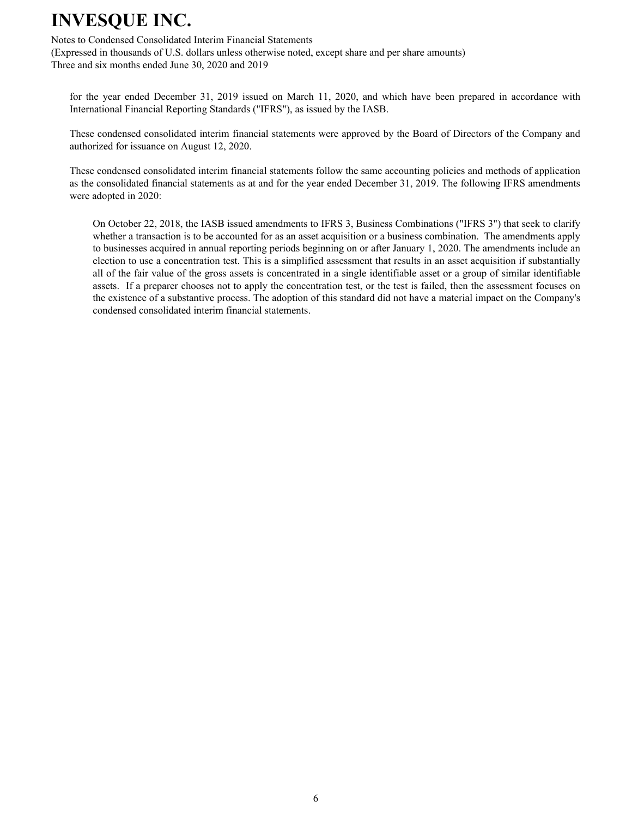Notes to Condensed Consolidated Interim Financial Statements

(Expressed in thousands of U.S. dollars unless otherwise noted, except share and per share amounts) Three and six months ended June 30, 2020 and 2019

for the year ended December 31, 2019 issued on March 11, 2020, and which have been prepared in accordance with International Financial Reporting Standards ("IFRS"), as issued by the IASB.

These condensed consolidated interim financial statements were approved by the Board of Directors of the Company and authorized for issuance on August 12, 2020.

These condensed consolidated interim financial statements follow the same accounting policies and methods of application as the consolidated financial statements as at and for the year ended December 31, 2019. The following IFRS amendments were adopted in 2020:

On October 22, 2018, the IASB issued amendments to IFRS 3, Business Combinations ("IFRS 3") that seek to clarify whether a transaction is to be accounted for as an asset acquisition or a business combination. The amendments apply to businesses acquired in annual reporting periods beginning on or after January 1, 2020. The amendments include an election to use a concentration test. This is a simplified assessment that results in an asset acquisition if substantially all of the fair value of the gross assets is concentrated in a single identifiable asset or a group of similar identifiable assets. If a preparer chooses not to apply the concentration test, or the test is failed, then the assessment focuses on the existence of a substantive process. The adoption of this standard did not have a material impact on the Company's condensed consolidated interim financial statements.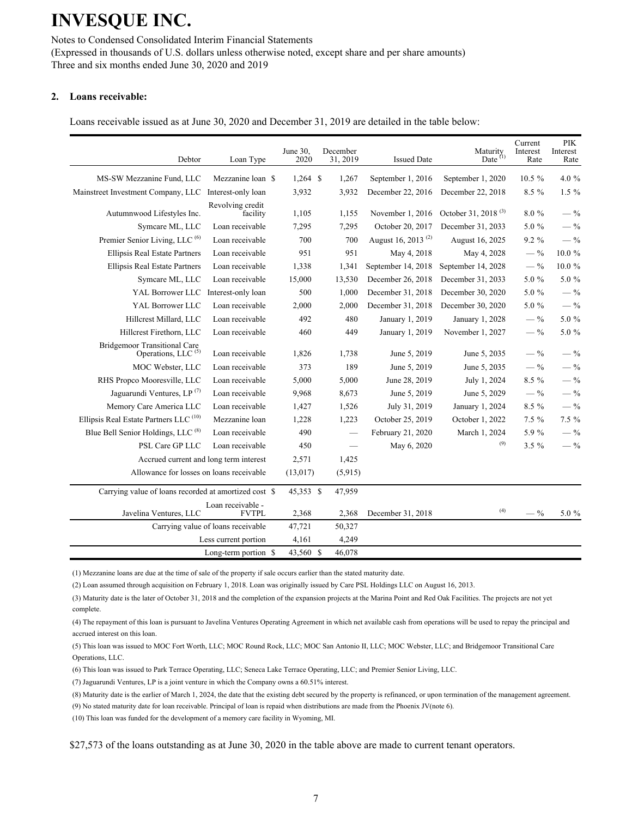Notes to Condensed Consolidated Interim Financial Statements (Expressed in thousands of U.S. dollars unless otherwise noted, except share and per share amounts) Three and six months ended June 30, 2020 and 2019

#### **2. Loans receivable:**

Loans receivable issued as at June 30, 2020 and December 31, 2019 are detailed in the table below:

| Debtor                                                                | Loan Type                          | June 30,<br>2020 | December<br>31, 2019 | <b>Issued Date</b>             | Maturity<br>Date $(1)$          | Current<br>Interest<br>Rate | <b>PIK</b><br>Interest<br>Rate |
|-----------------------------------------------------------------------|------------------------------------|------------------|----------------------|--------------------------------|---------------------------------|-----------------------------|--------------------------------|
| MS-SW Mezzanine Fund, LLC                                             | Mezzanine loan \$                  | $1,264$ \$       | 1,267                | September 1, 2016              | September 1, 2020               | $10.5 \%$                   | 4.0 %                          |
| Mainstreet Investment Company, LLC                                    | Interest-only loan                 | 3,932            | 3,932                | December 22, 2016              | December 22, 2018               | 8.5 %                       | $1.5\%$                        |
| Autumnwood Lifestyles Inc.                                            | Revolving credit<br>facility       | 1,105            | 1,155                | November 1, 2016               | October 31, 2018 <sup>(3)</sup> | 8.0%                        | $-$ %                          |
| Symcare ML, LLC                                                       | Loan receivable                    | 7,295            | 7,295                | October 20, 2017               | December 31, 2033               | 5.0 %                       | $-$ %                          |
| Premier Senior Living, LLC <sup>(6)</sup>                             | Loan receivable                    | 700              | 700                  | August 16, 2013 <sup>(2)</sup> | August 16, 2025                 | $9.2\%$                     | $-$ %                          |
| Ellipsis Real Estate Partners                                         | Loan receivable                    | 951              | 951                  | May 4, 2018                    | May 4, 2028                     | $-$ %                       | 10.0%                          |
| <b>Ellipsis Real Estate Partners</b>                                  | Loan receivable                    | 1,338            | 1,341                | September 14, 2018             | September 14, 2028              | $-$ %                       | $10.0~\%$                      |
| Symcare ML, LLC                                                       | Loan receivable                    | 15,000           | 13,530               | December 26, 2018              | December 31, 2033               | 5.0 %                       | 5.0 %                          |
| YAL Borrower LLC                                                      | Interest-only loan                 | 500              | 1,000                | December 31, 2018              | December 30, 2020               | 5.0 %                       | $-$ %                          |
| YAL Borrower LLC                                                      | Loan receivable                    | 2,000            | 2,000                | December 31, 2018              | December 30, 2020               | 5.0 %                       | $-$ %                          |
| Hillcrest Millard, LLC                                                | Loan receivable                    | 492              | 480                  | January 1, 2019                | January 1, 2028                 | $-$ %                       | 5.0 %                          |
| Hillcrest Firethorn, LLC                                              | Loan receivable                    | 460              | 449                  | January 1, 2019                | November 1, 2027                | $-$ %                       | 5.0 %                          |
| <b>Bridgemoor Transitional Care</b><br>Operations, LLC <sup>(5)</sup> | Loan receivable                    | 1,826            | 1,738                | June 5, 2019                   | June 5, 2035                    | $-\frac{9}{6}$              | $-$ %                          |
| MOC Webster, LLC                                                      | Loan receivable                    | 373              | 189                  | June 5, 2019                   | June 5, 2035                    | $-$ %                       | $-$ %                          |
| RHS Propco Mooresville, LLC                                           | Loan receivable                    | 5,000            | 5,000                | June 28, 2019                  | July 1, 2024                    | $8.5\%$                     | $-$ %                          |
| Jaguarundi Ventures, LP <sup>(7)</sup>                                | Loan receivable                    | 9,968            | 8,673                | June 5, 2019                   | June 5, 2029                    | $-$ %                       | $-$ %                          |
| Memory Care America LLC                                               | Loan receivable                    | 1,427            | 1,526                | July 31, 2019                  | January 1, 2024                 | 8.5 %                       | $-$ %                          |
| Ellipsis Real Estate Partners LLC <sup>(10)</sup>                     | Mezzanine loan                     | 1,228            | 1,223                | October 25, 2019               | October 1, 2022                 | $7.5 \%$                    | 7.5 %                          |
| Blue Bell Senior Holdings, LLC <sup>(8)</sup>                         | Loan receivable                    | 490              |                      | February 21, 2020              | March 1, 2024                   | 5.9%                        | $-$ %                          |
| PSL Care GP LLC                                                       | Loan receivable                    | 450              |                      | May 6, 2020                    | (9)                             | $3.5 \%$                    | $-$ %                          |
| Accrued current and long term interest                                |                                    | 2,571            | 1,425                |                                |                                 |                             |                                |
| Allowance for losses on loans receivable                              |                                    | (13,017)         | (5,915)              |                                |                                 |                             |                                |
| Carrying value of loans recorded at amortized cost \$                 |                                    | 45,353 \$        | 47,959               |                                |                                 |                             |                                |
| Javelina Ventures, LLC                                                | Loan receivable -<br><b>FVTPL</b>  | 2,368            | 2,368                | December 31, 2018              | (4)                             | $-$ %                       | 5.0 %                          |
|                                                                       | Carrying value of loans receivable | 47,721           | 50,327               |                                |                                 |                             |                                |
|                                                                       | Less current portion               | 4,161            | 4,249                |                                |                                 |                             |                                |
|                                                                       | Long-term portion \$               | 43,560 \$        | 46,078               |                                |                                 |                             |                                |

(1) Mezzanine loans are due at the time of sale of the property if sale occurs earlier than the stated maturity date.

(2) Loan assumed through acquisition on February 1, 2018. Loan was originally issued by Care PSL Holdings LLC on August 16, 2013.

(3) Maturity date is the later of October 31, 2018 and the completion of the expansion projects at the Marina Point and Red Oak Facilities. The projects are not yet complete.

(4) The repayment of this loan is pursuant to Javelina Ventures Operating Agreement in which net available cash from operations will be used to repay the principal and accrued interest on this loan.

(5) This loan was issued to MOC Fort Worth, LLC; MOC Round Rock, LLC; MOC San Antonio II, LLC; MOC Webster, LLC; and Bridgemoor Transitional Care Operations, LLC.

(6) This loan was issued to Park Terrace Operating, LLC; Seneca Lake Terrace Operating, LLC; and Premier Senior Living, LLC.

(7) Jaguarundi Ventures, LP is a joint venture in which the Company owns a 60.51% interest.

(8) Maturity date is the earlier of March 1, 2024, the date that the existing debt secured by the property is refinanced, or upon termination of the management agreement.

(9) No stated maturity date for loan receivable. Principal of loan is repaid when distributions are made from the Phoenix JV(note 6).

(10) This loan was funded for the development of a memory care facility in Wyoming, MI.

\$27,573 of the loans outstanding as at June 30, 2020 in the table above are made to current tenant operators.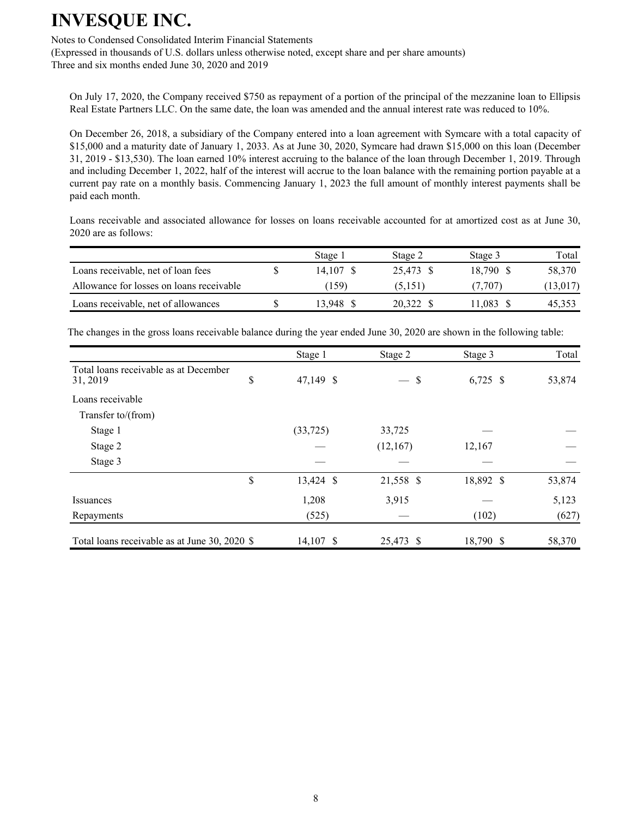Notes to Condensed Consolidated Interim Financial Statements

(Expressed in thousands of U.S. dollars unless otherwise noted, except share and per share amounts) Three and six months ended June 30, 2020 and 2019

On July 17, 2020, the Company received \$750 as repayment of a portion of the principal of the mezzanine loan to Ellipsis Real Estate Partners LLC. On the same date, the loan was amended and the annual interest rate was reduced to 10%.

On December 26, 2018, a subsidiary of the Company entered into a loan agreement with Symcare with a total capacity of \$15,000 and a maturity date of January 1, 2033. As at June 30, 2020, Symcare had drawn \$15,000 on this loan (December 31, 2019 - \$13,530). The loan earned 10% interest accruing to the balance of the loan through December 1, 2019. Through and including December 1, 2022, half of the interest will accrue to the loan balance with the remaining portion payable at a current pay rate on a monthly basis. Commencing January 1, 2023 the full amount of monthly interest payments shall be paid each month.

Loans receivable and associated allowance for losses on loans receivable accounted for at amortized cost as at June 30, 2020 are as follows:

|                                          | Stage 1   | Stage 2   | Stage 3   | Total     |
|------------------------------------------|-----------|-----------|-----------|-----------|
| Loans receivable, net of loan fees       | 14.107 \$ | 25.473 \$ | 18.790 \$ | 58,370    |
| Allowance for losses on loans receivable | (159)     | (5,151)   | (7.707)   | (13, 017) |
| Loans receivable, net of allowances      | 13.948    | 20.322    | 1.083     | 45,353    |

The changes in the gross loans receivable balance during the year ended June 30, 2020 are shown in the following table:

|                                                   | Stage 1         | Stage 2               | Stage 3    | Total  |
|---------------------------------------------------|-----------------|-----------------------|------------|--------|
| Total loans receivable as at December<br>31, 2019 | \$<br>47,149 \$ | \$<br>$\qquad \qquad$ | $6,725$ \$ | 53,874 |
| Loans receivable                                  |                 |                       |            |        |
| Transfer to/(from)                                |                 |                       |            |        |
| Stage 1                                           | (33, 725)       | 33,725                |            |        |
| Stage 2                                           |                 | (12,167)              | 12,167     |        |
| Stage 3                                           |                 |                       |            |        |
|                                                   | \$<br>13,424 \$ | 21,558 \$             | 18,892 \$  | 53,874 |
| Issuances                                         | 1,208           | 3,915                 |            | 5,123  |
| Repayments                                        | (525)           |                       | (102)      | (627)  |
| Total loans receivable as at June 30, 2020 \$     | 14,107 \$       | 25,473 \$             | 18,790 \$  | 58,370 |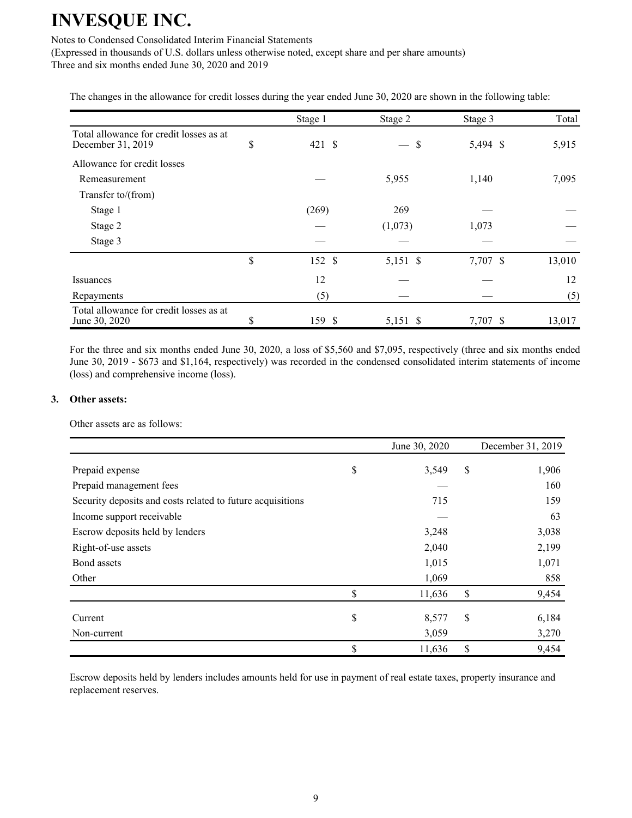### Notes to Condensed Consolidated Interim Financial Statements

(Expressed in thousands of U.S. dollars unless otherwise noted, except share and per share amounts) Three and six months ended June 30, 2020 and 2019

The changes in the allowance for credit losses during the year ended June 30, 2020 are shown in the following table:

|                                                              | Stage 1      | Stage 2            | Stage 3  | Total  |
|--------------------------------------------------------------|--------------|--------------------|----------|--------|
| Total allowance for credit losses as at<br>December 31, 2019 | \$<br>421S   | S<br>$\frac{1}{1}$ | 5,494 \$ | 5,915  |
| Allowance for credit losses                                  |              |                    |          |        |
| Remeasurement                                                |              | 5,955              | 1,140    | 7,095  |
| Transfer to/(from)                                           |              |                    |          |        |
| Stage 1                                                      | (269)        | 269                |          |        |
| Stage 2                                                      |              | (1,073)            | 1,073    |        |
| Stage 3                                                      |              |                    |          |        |
|                                                              | \$<br>152 \$ | 5,151 \$           | 7,707 \$ | 13,010 |
| <b>Issuances</b>                                             | 12           |                    |          | 12     |
| Repayments                                                   | (5)          |                    |          | (5)    |
| Total allowance for credit losses as at<br>June 30, 2020     | \$<br>159 \$ | 5,151 \$           | 7,707 \$ | 13,017 |

For the three and six months ended June 30, 2020, a loss of \$5,560 and \$7,095, respectively (three and six months ended June 30, 2019 - \$673 and \$1,164, respectively) was recorded in the condensed consolidated interim statements of income (loss) and comprehensive income (loss).

#### **3. Other assets:**

Other assets are as follows:

|                                                            | June 30, 2020 | December 31, 2019 |
|------------------------------------------------------------|---------------|-------------------|
| Prepaid expense                                            | \$<br>3,549   | \$<br>1,906       |
| Prepaid management fees                                    |               | 160               |
| Security deposits and costs related to future acquisitions | 715           | 159               |
| Income support receivable                                  |               | 63                |
| Escrow deposits held by lenders                            | 3,248         | 3,038             |
| Right-of-use assets                                        | 2,040         | 2,199             |
| Bond assets                                                | 1,015         | 1,071             |
| Other                                                      | 1,069         | 858               |
|                                                            | \$<br>11,636  | \$<br>9,454       |
| Current                                                    | \$<br>8,577   | \$<br>6,184       |
| Non-current                                                | 3,059         | 3,270             |
|                                                            | \$<br>11,636  | \$<br>9,454       |

Escrow deposits held by lenders includes amounts held for use in payment of real estate taxes, property insurance and replacement reserves.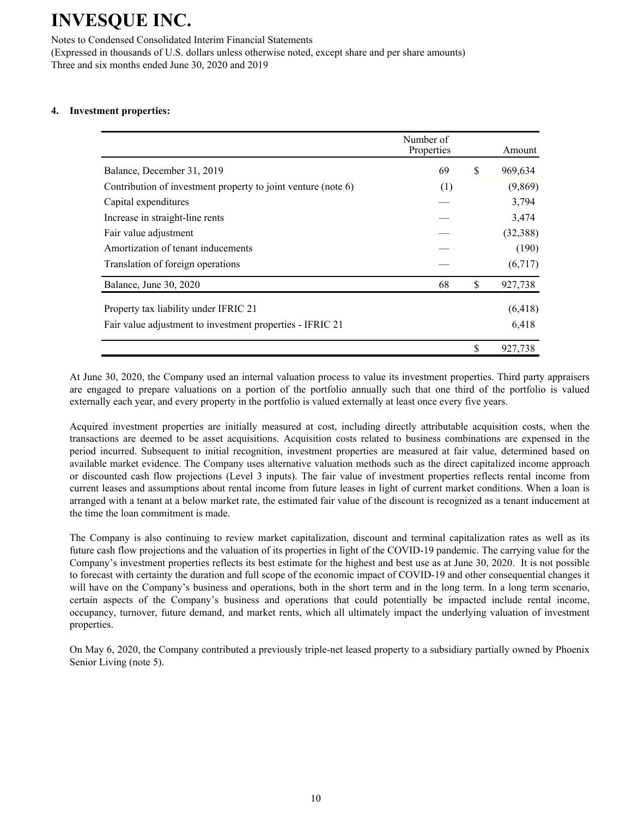Notes to Condensed Consolidated Interim Financial Statements

(Expressed in thousands of U.S. dollars unless otherwise noted, except share and per share amounts) Three and six months ended June 30, 2020 and 2019

### **4. Investment properties:**

|                                                               | Number of<br>Properties |    | Amount    |
|---------------------------------------------------------------|-------------------------|----|-----------|
| Balance, December 31, 2019                                    | 69                      | S  | 969,634   |
| Contribution of investment property to joint venture (note 6) | (1)                     |    | (9,869)   |
| Capital expenditures                                          |                         |    | 3,794     |
| Increase in straight-line rents                               |                         |    | 3,474     |
| Fair value adjustment                                         |                         |    | (32, 388) |
| Amortization of tenant inducements                            |                         |    | (190)     |
| Translation of foreign operations                             |                         |    | (6,717)   |
| Balance, June 30, 2020                                        | 68                      | \$ | 927,738   |
| Property tax liability under IFRIC 21                         |                         |    | (6, 418)  |
| Fair value adjustment to investment properties - IFRIC 21     |                         |    | 6,418     |
|                                                               |                         | \$ | 927,738   |

At June 30, 2020, the Company used an internal valuation process to value its investment properties. Third party appraisers are engaged to prepare valuations on a portion of the portfolio annually such that one third of the portfolio is valued externally each year, and every property in the portfolio is valued externally at least once every five years.

Acquired investment properties are initially measured at cost, including directly attributable acquisition costs, when the transactions are deemed to be asset acquisitions. Acquisition costs related to business combinations are expensed in the period incurred. Subsequent to initial recognition, investment properties are measured at fair value, determined based on available market evidence. The Company uses alternative valuation methods such as the direct capitalized income approach or discounted cash flow projections (Level 3 inputs). The fair value of investment properties reflects rental income from current leases and assumptions about rental income from future leases in light of current market conditions. When a loan is arranged with a tenant at a below market rate, the estimated fair value of the discount is recognized as a tenant inducement at the time the loan commitment is made.

The Company is also continuing to review market capitalization, discount and terminal capitalization rates as well as its future cash flow projections and the valuation of its properties in light of the COVID-19 pandemic. The carrying value for the Company's investment properties reflects its best estimate for the highest and best use as at June 30, 2020. It is not possible to forecast with certainty the duration and full scope of the economic impact of COVID-19 and other consequential changes it will have on the Company's business and operations, both in the short term and in the long term. In a long term scenario, certain aspects of the Company's business and operations that could potentially be impacted include rental income, occupancy, turnover, future demand, and market rents, which all ultimately impact the underlying valuation of investment properties.

On May 6, 2020, the Company contributed a previously triple-net leased property to a subsidiary partially owned by Phoenix Senior Living (note 5).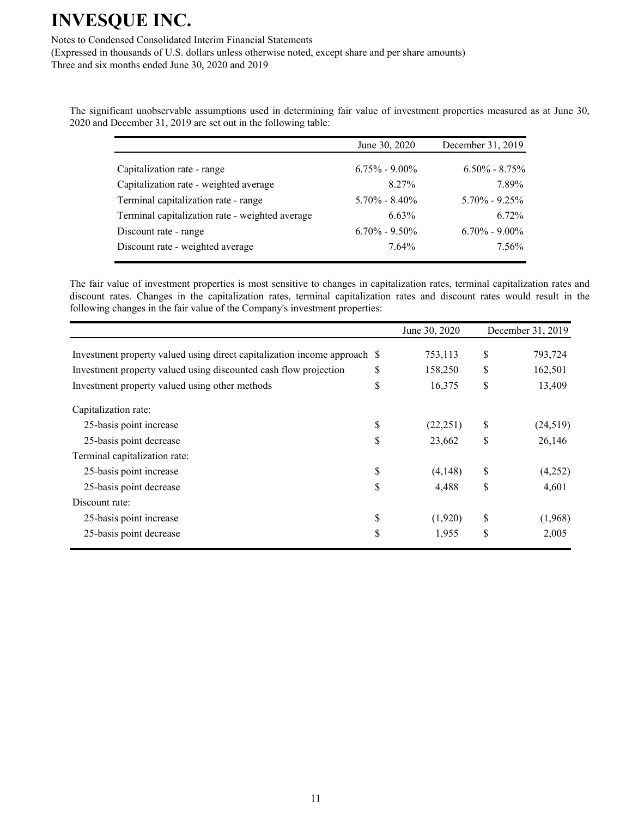Notes to Condensed Consolidated Interim Financial Statements

(Expressed in thousands of U.S. dollars unless otherwise noted, except share and per share amounts) Three and six months ended June 30, 2020 and 2019

The significant unobservable assumptions used in determining fair value of investment properties measured as at June 30, 2020 and December 31, 2019 are set out in the following table:

|                                                 | June 30, 2020     | December 31, 2019 |
|-------------------------------------------------|-------------------|-------------------|
|                                                 |                   |                   |
| Capitalization rate - range                     | $6.75\% - 9.00\%$ | $6.50\% - 8.75\%$ |
| Capitalization rate - weighted average          | 8.27%             | 7.89%             |
| Terminal capitalization rate - range            | $5.70\% - 8.40\%$ | $5.70\% - 9.25\%$ |
| Terminal capitalization rate - weighted average | 6.63%             | $6.72\%$          |
| Discount rate - range                           | $6.70\% - 9.50\%$ | $6.70\% - 9.00\%$ |
| Discount rate - weighted average                | $7.64\%$          | 7.56%             |

The fair value of investment properties is most sensitive to changes in capitalization rates, terminal capitalization rates and discount rates. Changes in the capitalization rates, terminal capitalization rates and discount rates would result in the following changes in the fair value of the Company's investment properties:

|                                                                           | June 30, 2020   | December 31, 2019 |
|---------------------------------------------------------------------------|-----------------|-------------------|
| Investment property valued using direct capitalization income approach \$ | 753,113         | \$<br>793,724     |
| Investment property valued using discounted cash flow projection          | \$<br>158,250   | \$<br>162,501     |
| Investment property valued using other methods                            | \$<br>16,375    | \$<br>13,409      |
| Capitalization rate:                                                      |                 |                   |
| 25-basis point increase                                                   | \$<br>(22, 251) | \$<br>(24, 519)   |
| 25-basis point decrease                                                   | \$<br>23,662    | \$<br>26,146      |
| Terminal capitalization rate:                                             |                 |                   |
| 25-basis point increase                                                   | \$<br>(4,148)   | \$<br>(4,252)     |
| 25-basis point decrease                                                   | \$<br>4,488     | \$<br>4,601       |
| Discount rate:                                                            |                 |                   |
| 25-basis point increase                                                   | \$<br>(1,920)   | \$<br>(1,968)     |
| 25-basis point decrease                                                   | \$<br>1,955     | \$<br>2,005       |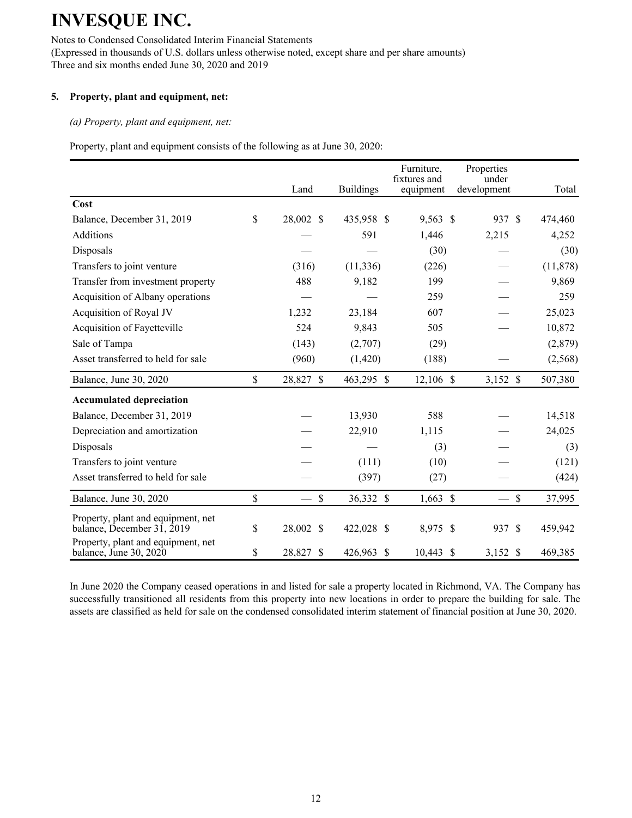Notes to Condensed Consolidated Interim Financial Statements (Expressed in thousands of U.S. dollars unless otherwise noted, except share and per share amounts) Three and six months ended June 30, 2020 and 2019

### **5. Property, plant and equipment, net:**

*(a) Property, plant and equipment, net:*

Property, plant and equipment consists of the following as at June 30, 2020:

|                                                                  | Land            | <b>Buildings</b> | Furniture,<br>fixtures and<br>equipment | Properties<br>under<br>development | Total                   |
|------------------------------------------------------------------|-----------------|------------------|-----------------------------------------|------------------------------------|-------------------------|
| Cost                                                             |                 |                  |                                         |                                    |                         |
| Balance, December 31, 2019                                       | \$<br>28,002 \$ | 435,958 \$       | 9,563 \$                                | 937 \$                             | 474,460                 |
| <b>Additions</b>                                                 |                 | 591              | 1,446                                   | 2,215                              | 4,252                   |
| Disposals                                                        |                 |                  | (30)                                    |                                    | (30)                    |
| Transfers to joint venture                                       | (316)           | (11, 336)        | (226)                                   |                                    | (11, 878)               |
| Transfer from investment property                                | 488             | 9,182            | 199                                     |                                    | 9,869                   |
| Acquisition of Albany operations                                 |                 |                  | 259                                     |                                    | 259                     |
| Acquisition of Royal JV                                          | 1,232           | 23,184           | 607                                     |                                    | 25,023                  |
| Acquisition of Fayetteville                                      | 524             | 9,843            | 505                                     |                                    | 10,872                  |
| Sale of Tampa                                                    | (143)           | (2,707)          | (29)                                    |                                    | (2,879)                 |
| Asset transferred to held for sale                               | (960)           | (1,420)          | (188)                                   |                                    | (2, 568)                |
| Balance, June 30, 2020                                           | \$<br>28,827 \$ | 463,295 \$       | $12,106$ \$                             | 3,152 \$                           | 507,380                 |
| <b>Accumulated depreciation</b>                                  |                 |                  |                                         |                                    |                         |
| Balance, December 31, 2019                                       |                 | 13,930           | 588                                     |                                    | 14,518                  |
| Depreciation and amortization                                    |                 | 22,910           | 1,115                                   |                                    | 24,025                  |
| Disposals                                                        |                 |                  | (3)                                     |                                    | (3)                     |
| Transfers to joint venture                                       |                 | (111)            | (10)                                    |                                    | (121)                   |
| Asset transferred to held for sale                               |                 | (397)            | (27)                                    |                                    | (424)                   |
| Balance, June 30, 2020                                           | \$<br>$\$$      | 36,332 \$        | $1,663$ \$                              |                                    | $\mathcal{S}$<br>37,995 |
| Property, plant and equipment, net<br>balance, December 31, 2019 | \$<br>28,002 \$ | 422,028 \$       | 8,975 \$                                | 937 \$                             | 459,942                 |
| Property, plant and equipment, net<br>balance, June 30, 2020     | \$<br>28,827 \$ | 426,963 \$       | $10,443$ \$                             | 3,152 \$                           | 469,385                 |

In June 2020 the Company ceased operations in and listed for sale a property located in Richmond, VA. The Company has successfully transitioned all residents from this property into new locations in order to prepare the building for sale. The assets are classified as held for sale on the condensed consolidated interim statement of financial position at June 30, 2020.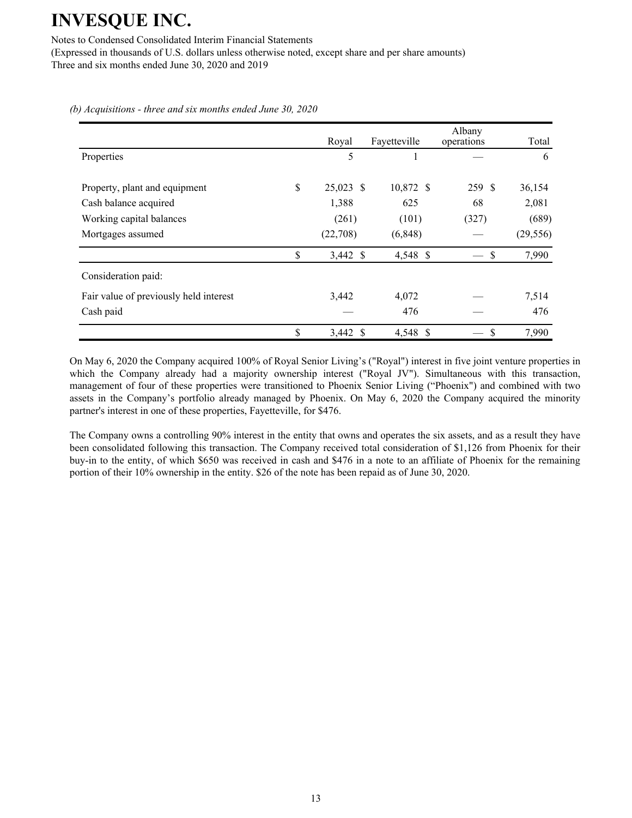Notes to Condensed Consolidated Interim Financial Statements

(Expressed in thousands of U.S. dollars unless otherwise noted, except share and per share amounts) Three and six months ended June 30, 2020 and 2019

|                                        | Royal            | Fayetteville | Albany<br>operations | Total     |
|----------------------------------------|------------------|--------------|----------------------|-----------|
| Properties                             | 5                |              |                      | 6         |
| Property, plant and equipment          | \$<br>25,023 \$  | 10,872 \$    | 259 \$               | 36,154    |
| Cash balance acquired                  | 1,388            | 625          | 68                   | 2,081     |
| Working capital balances               | (261)            | (101)        | (327)                | (689)     |
| Mortgages assumed                      | (22,708)         | (6, 848)     |                      | (29, 556) |
|                                        | \$<br>3,442 \$   | 4,548 \$     | \$                   | 7,990     |
| Consideration paid:                    |                  |              |                      |           |
| Fair value of previously held interest | 3,442            | 4,072        |                      | 7,514     |
| Cash paid                              |                  | 476          |                      | 476       |
|                                        | \$<br>$3,442$ \$ | 4,548 \$     | \$                   | 7,990     |

*(b) Acquisitions - three and six months ended June 30, 2020*

On May 6, 2020 the Company acquired 100% of Royal Senior Living's ("Royal") interest in five joint venture properties in which the Company already had a majority ownership interest ("Royal JV"). Simultaneous with this transaction, management of four of these properties were transitioned to Phoenix Senior Living ("Phoenix") and combined with two assets in the Company's portfolio already managed by Phoenix. On May 6, 2020 the Company acquired the minority partner's interest in one of these properties, Fayetteville, for \$476.

The Company owns a controlling 90% interest in the entity that owns and operates the six assets, and as a result they have been consolidated following this transaction. The Company received total consideration of \$1,126 from Phoenix for their buy-in to the entity, of which \$650 was received in cash and \$476 in a note to an affiliate of Phoenix for the remaining portion of their 10% ownership in the entity. \$26 of the note has been repaid as of June 30, 2020.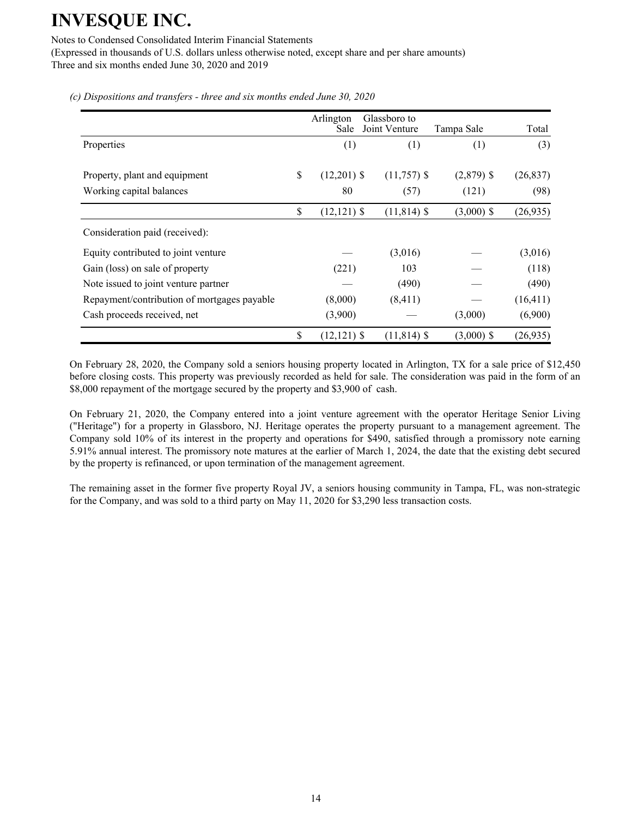Notes to Condensed Consolidated Interim Financial Statements

(Expressed in thousands of U.S. dollars unless otherwise noted, except share and per share amounts) Three and six months ended June 30, 2020 and 2019

|                                             | Arlington<br>Sale    | Glassboro to<br>Joint Venture | Tampa Sale   | Total     |
|---------------------------------------------|----------------------|-------------------------------|--------------|-----------|
| Properties                                  | (1)                  | (1)                           | (1)          | (3)       |
| Property, plant and equipment               | \$<br>$(12,201)$ \$  | $(11,757)$ \$                 | $(2,879)$ \$ | (26, 837) |
| Working capital balances                    | 80                   | (57)                          | (121)        | (98)      |
|                                             | \$<br>$(12, 121)$ \$ | $(11, 814)$ \$                | $(3,000)$ \$ | (26, 935) |
| Consideration paid (received):              |                      |                               |              |           |
| Equity contributed to joint venture         |                      | (3,016)                       |              | (3,016)   |
| Gain (loss) on sale of property             | (221)                | 103                           |              | (118)     |
| Note issued to joint venture partner        |                      | (490)                         |              | (490)     |
| Repayment/contribution of mortgages payable | (8,000)              | (8, 411)                      |              | (16, 411) |
| Cash proceeds received, net                 | (3,900)              |                               | (3,000)      | (6,900)   |
|                                             | \$<br>$(12, 121)$ \$ | $(11, 814)$ \$                | $(3,000)$ \$ | (26,935)  |

*(c) Dispositions and transfers - three and six months ended June 30, 2020*

On February 28, 2020, the Company sold a seniors housing property located in Arlington, TX for a sale price of \$12,450 before closing costs. This property was previously recorded as held for sale. The consideration was paid in the form of an \$8,000 repayment of the mortgage secured by the property and \$3,900 of cash.

On February 21, 2020, the Company entered into a joint venture agreement with the operator Heritage Senior Living ("Heritage") for a property in Glassboro, NJ. Heritage operates the property pursuant to a management agreement. The Company sold 10% of its interest in the property and operations for \$490, satisfied through a promissory note earning 5.91% annual interest. The promissory note matures at the earlier of March 1, 2024, the date that the existing debt secured by the property is refinanced, or upon termination of the management agreement.

The remaining asset in the former five property Royal JV, a seniors housing community in Tampa, FL, was non-strategic for the Company, and was sold to a third party on May 11, 2020 for \$3,290 less transaction costs.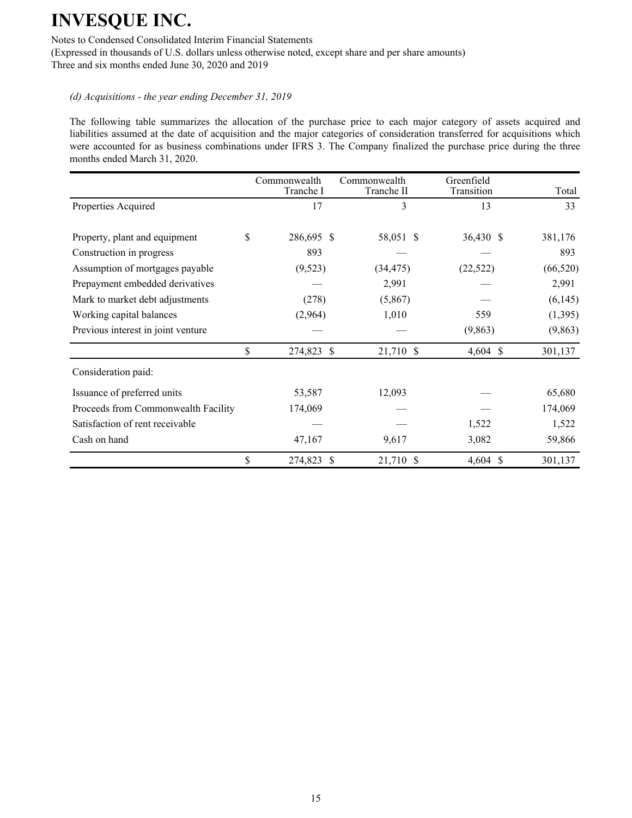Notes to Condensed Consolidated Interim Financial Statements

(Expressed in thousands of U.S. dollars unless otherwise noted, except share and per share amounts) Three and six months ended June 30, 2020 and 2019

### *(d) Acquisitions - the year ending December 31, 2019*

The following table summarizes the allocation of the purchase price to each major category of assets acquired and liabilities assumed at the date of acquisition and the major categories of consideration transferred for acquisitions which were accounted for as business combinations under IFRS 3. The Company finalized the purchase price during the three months ended March 31, 2020.

|                                     | Commonwealth<br>Tranche I | Commonwealth<br>Tranche II | Greenfield<br>Transition | Total     |
|-------------------------------------|---------------------------|----------------------------|--------------------------|-----------|
| Properties Acquired                 | 17                        | 3                          | 13                       | 33        |
| Property, plant and equipment       | \$<br>286,695 \$          | 58,051 \$                  | 36,430 \$                | 381,176   |
| Construction in progress            | 893                       |                            |                          | 893       |
| Assumption of mortgages payable     | (9,523)                   | (34, 475)                  | (22, 522)                | (66, 520) |
| Prepayment embedded derivatives     |                           | 2,991                      |                          | 2,991     |
| Mark to market debt adjustments     | (278)                     | (5,867)                    |                          | (6,145)   |
| Working capital balances            | (2,964)                   | 1,010                      | 559                      | (1,395)   |
| Previous interest in joint venture  |                           |                            | (9,863)                  | (9, 863)  |
|                                     | \$<br>274,823 \$          | 21,710 \$                  | $4,604$ \$               | 301,137   |
| Consideration paid:                 |                           |                            |                          |           |
| Issuance of preferred units         | 53,587                    | 12,093                     |                          | 65,680    |
| Proceeds from Commonwealth Facility | 174,069                   |                            |                          | 174,069   |
| Satisfaction of rent receivable     |                           |                            | 1,522                    | 1,522     |
| Cash on hand                        | 47,167                    | 9,617                      | 3,082                    | 59,866    |
|                                     | \$<br>274,823             | 21,710 \$<br><sup>S</sup>  | $4,604$ \$               | 301,137   |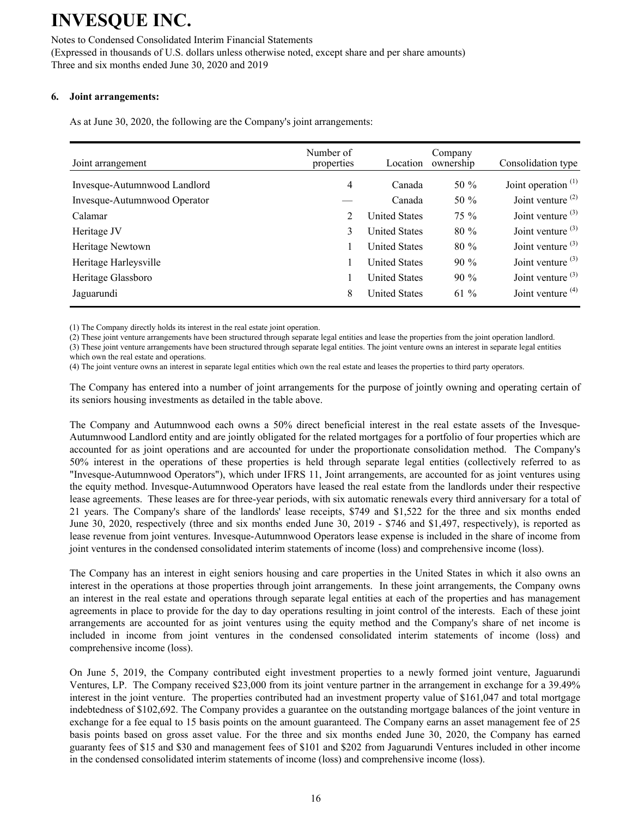#### Notes to Condensed Consolidated Interim Financial Statements

(Expressed in thousands of U.S. dollars unless otherwise noted, except share and per share amounts) Three and six months ended June 30, 2020 and 2019

### **6. Joint arrangements:**

As at June 30, 2020, the following are the Company's joint arrangements:

| Joint arrangement            | Number of<br>properties | Location             | Company<br>ownership | Consolidation type    |
|------------------------------|-------------------------|----------------------|----------------------|-----------------------|
| Invesque-Autumnwood Landlord | 4                       | Canada               | 50 $%$               | Joint operation $(1)$ |
| Invesque-Autumnwood Operator |                         | Canada               | 50 %                 | Joint venture $(2)$   |
| Calamar                      | 2                       | <b>United States</b> | $75\%$               | Joint venture $(3)$   |
| Heritage JV                  | 3                       | <b>United States</b> | $80\%$               | Joint venture $(3)$   |
| Heritage Newtown             |                         | <b>United States</b> | $80\%$               | Joint venture $(3)$   |
| Heritage Harleysville        |                         | <b>United States</b> | $90\%$               | Joint venture $(3)$   |
| Heritage Glassboro           |                         | <b>United States</b> | $90\%$               | Joint venture $(3)$   |
| Jaguarundi                   | 8                       | <b>United States</b> | 61 $%$               | Joint venture $(4)$   |

(1) The Company directly holds its interest in the real estate joint operation.

(2) These joint venture arrangements have been structured through separate legal entities and lease the properties from the joint operation landlord.

(3) These joint venture arrangements have been structured through separate legal entities. The joint venture owns an interest in separate legal entities which own the real estate and operations.

(4) The joint venture owns an interest in separate legal entities which own the real estate and leases the properties to third party operators.

The Company has entered into a number of joint arrangements for the purpose of jointly owning and operating certain of its seniors housing investments as detailed in the table above.

The Company and Autumnwood each owns a 50% direct beneficial interest in the real estate assets of the Invesque-Autumnwood Landlord entity and are jointly obligated for the related mortgages for a portfolio of four properties which are accounted for as joint operations and are accounted for under the proportionate consolidation method. The Company's 50% interest in the operations of these properties is held through separate legal entities (collectively referred to as "Invesque-Autumnwood Operators"), which under IFRS 11, Joint arrangements, are accounted for as joint ventures using the equity method. Invesque-Autumnwood Operators have leased the real estate from the landlords under their respective lease agreements. These leases are for three-year periods, with six automatic renewals every third anniversary for a total of 21 years. The Company's share of the landlords' lease receipts, \$749 and \$1,522 for the three and six months ended June 30, 2020, respectively (three and six months ended June 30, 2019 - \$746 and \$1,497, respectively), is reported as lease revenue from joint ventures. Invesque-Autumnwood Operators lease expense is included in the share of income from joint ventures in the condensed consolidated interim statements of income (loss) and comprehensive income (loss).

The Company has an interest in eight seniors housing and care properties in the United States in which it also owns an interest in the operations at those properties through joint arrangements. In these joint arrangements, the Company owns an interest in the real estate and operations through separate legal entities at each of the properties and has management agreements in place to provide for the day to day operations resulting in joint control of the interests. Each of these joint arrangements are accounted for as joint ventures using the equity method and the Company's share of net income is included in income from joint ventures in the condensed consolidated interim statements of income (loss) and comprehensive income (loss).

On June 5, 2019, the Company contributed eight investment properties to a newly formed joint venture, Jaguarundi Ventures, LP. The Company received \$23,000 from its joint venture partner in the arrangement in exchange for a 39.49% interest in the joint venture. The properties contributed had an investment property value of \$161,047 and total mortgage indebtedness of \$102,692. The Company provides a guarantee on the outstanding mortgage balances of the joint venture in exchange for a fee equal to 15 basis points on the amount guaranteed. The Company earns an asset management fee of 25 basis points based on gross asset value. For the three and six months ended June 30, 2020, the Company has earned guaranty fees of \$15 and \$30 and management fees of \$101 and \$202 from Jaguarundi Ventures included in other income in the condensed consolidated interim statements of income (loss) and comprehensive income (loss).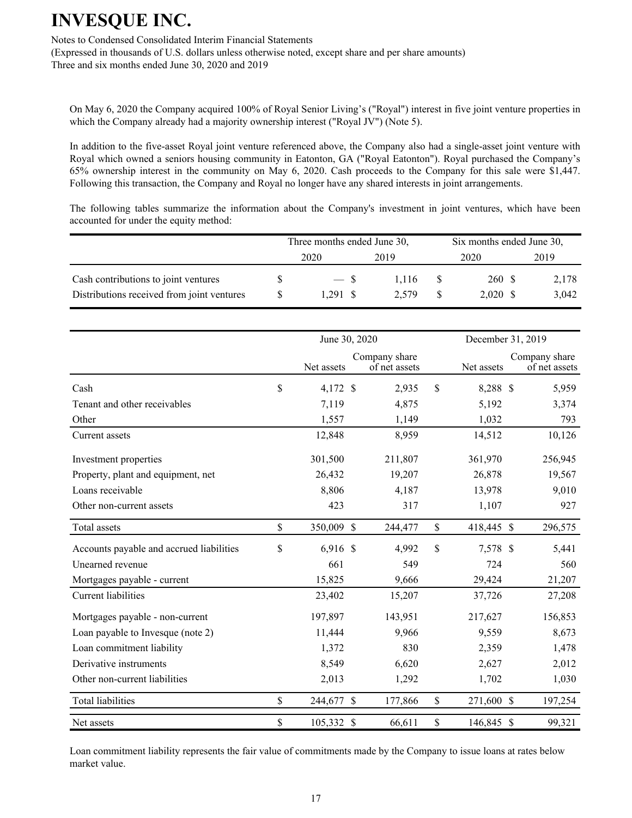Notes to Condensed Consolidated Interim Financial Statements

(Expressed in thousands of U.S. dollars unless otherwise noted, except share and per share amounts) Three and six months ended June 30, 2020 and 2019

On May 6, 2020 the Company acquired 100% of Royal Senior Living's ("Royal") interest in five joint venture properties in which the Company already had a majority ownership interest ("Royal JV") (Note 5).

In addition to the five-asset Royal joint venture referenced above, the Company also had a single-asset joint venture with Royal which owned a seniors housing community in Eatonton, GA ("Royal Eatonton"). Royal purchased the Company's 65% ownership interest in the community on May 6, 2020. Cash proceeds to the Company for this sale were \$1,447. Following this transaction, the Company and Royal no longer have any shared interests in joint arrangements.

The following tables summarize the information about the Company's investment in joint ventures, which have been accounted for under the equity method:

|                                                                                    | Three months ended June 30, |                | Six months ended June 30, |                      |                |  |
|------------------------------------------------------------------------------------|-----------------------------|----------------|---------------------------|----------------------|----------------|--|
|                                                                                    | 2020                        | 2019           |                           | 2020                 | 2019           |  |
| Cash contributions to joint ventures<br>Distributions received from joint ventures | $-$ S<br>1.291 S            | 1.116<br>2.579 |                           | 260 \$<br>$2,020$ \$ | 2,178<br>3,042 |  |

|                                          | June 30, 2020    |               |                                | December 31, 2019 |            |  |                                |
|------------------------------------------|------------------|---------------|--------------------------------|-------------------|------------|--|--------------------------------|
|                                          | Net assets       |               | Company share<br>of net assets |                   | Net assets |  | Company share<br>of net assets |
| Cash                                     | \$<br>4,172 \$   |               | 2,935                          | \$                | 8,288 \$   |  | 5,959                          |
| Tenant and other receivables             | 7,119            |               | 4,875                          |                   | 5,192      |  | 3,374                          |
| Other                                    | 1,557            |               | 1,149                          |                   | 1,032      |  | 793                            |
| Current assets                           | 12,848           |               | 8,959                          |                   | 14,512     |  | 10,126                         |
| Investment properties                    | 301,500          |               | 211,807                        |                   | 361,970    |  | 256,945                        |
| Property, plant and equipment, net       | 26,432           |               | 19,207                         |                   | 26,878     |  | 19,567                         |
| Loans receivable                         | 8,806            |               | 4,187                          |                   | 13,978     |  | 9,010                          |
| Other non-current assets                 | 423              |               | 317                            |                   | 1,107      |  | 927                            |
| Total assets                             | \$<br>350,009 \$ |               | 244,477                        | \$                | 418,445 \$ |  | 296,575                        |
| Accounts payable and accrued liabilities | \$<br>$6,916$ \$ |               | 4,992                          | \$                | 7,578 \$   |  | 5,441                          |
| Unearned revenue                         | 661              |               | 549                            |                   | 724        |  | 560                            |
| Mortgages payable - current              | 15,825           |               | 9,666                          |                   | 29,424     |  | 21,207                         |
| Current liabilities                      | 23,402           |               | 15,207                         |                   | 37,726     |  | 27,208                         |
| Mortgages payable - non-current          | 197,897          |               | 143,951                        |                   | 217,627    |  | 156,853                        |
| Loan payable to Invesque (note 2)        | 11,444           |               | 9,966                          |                   | 9,559      |  | 8,673                          |
| Loan commitment liability                | 1,372            |               | 830                            |                   | 2,359      |  | 1,478                          |
| Derivative instruments                   | 8,549            |               | 6,620                          |                   | 2,627      |  | 2,012                          |
| Other non-current liabilities            | 2,013            |               | 1,292                          |                   | 1,702      |  | 1,030                          |
| <b>Total liabilities</b>                 | \$<br>244,677    | <sup>\$</sup> | 177,866                        | \$                | 271,600 \$ |  | 197,254                        |
| Net assets                               | \$<br>105,332    | $\mathcal{S}$ | 66,611                         | \$                | 146,845 \$ |  | 99,321                         |

Loan commitment liability represents the fair value of commitments made by the Company to issue loans at rates below market value.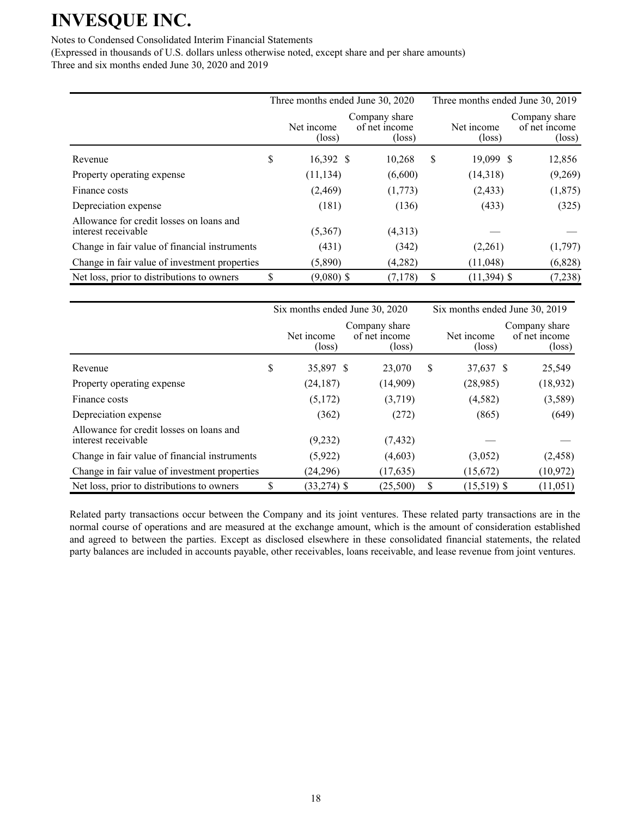### Notes to Condensed Consolidated Interim Financial Statements

(Expressed in thousands of U.S. dollars unless otherwise noted, except share and per share amounts) Three and six months ended June 30, 2020 and 2019

|                                                                 | Three months ended June 30, 2020 |                                                   | Three months ended June 30, 2019 |                               |                                                   |  |
|-----------------------------------------------------------------|----------------------------------|---------------------------------------------------|----------------------------------|-------------------------------|---------------------------------------------------|--|
|                                                                 | Net income<br>$(\text{loss})$    | Company share<br>of net income<br>$(\text{loss})$ |                                  | Net income<br>$(\text{loss})$ | Company share<br>of net income<br>$(\text{loss})$ |  |
| Revenue                                                         | \$<br>16,392 \$                  | 10,268                                            | S                                | 19,099 \$                     | 12,856                                            |  |
| Property operating expense                                      | (11, 134)                        | (6,600)                                           |                                  | (14,318)                      | (9,269)                                           |  |
| Finance costs                                                   | (2,469)                          | (1,773)                                           |                                  | (2, 433)                      | (1,875)                                           |  |
| Depreciation expense                                            | (181)                            | (136)                                             |                                  | (433)                         | (325)                                             |  |
| Allowance for credit losses on loans and<br>interest receivable | (5,367)                          | (4,313)                                           |                                  |                               |                                                   |  |
| Change in fair value of financial instruments                   | (431)                            | (342)                                             |                                  | (2,261)                       | (1,797)                                           |  |
| Change in fair value of investment properties                   | (5,890)                          | (4,282)                                           |                                  | (11,048)                      | (6,828)                                           |  |
| Net loss, prior to distributions to owners                      | \$<br>$(9,080)$ \$               | (7, 178)                                          | ъ.                               | $(11, 394)$ \$                | (7, 238)                                          |  |

|                                                                 | Six months ended June 30, 2020 |                                                   |    | Six months ended June 30, 2019 |                                                   |  |  |
|-----------------------------------------------------------------|--------------------------------|---------------------------------------------------|----|--------------------------------|---------------------------------------------------|--|--|
|                                                                 | Net income<br>(loss)           | Company share<br>of net income<br>$(\text{loss})$ |    | Net income<br>$(\text{loss})$  | Company share<br>of net income<br>$(\text{loss})$ |  |  |
| Revenue                                                         | \$<br>35,897 \$                | 23,070                                            | \$ | 37,637 \$                      | 25,549                                            |  |  |
| Property operating expense                                      | (24, 187)                      | (14,909)                                          |    | (28,985)                       | (18, 932)                                         |  |  |
| Finance costs                                                   | (5,172)                        | (3,719)                                           |    | (4,582)                        | (3,589)                                           |  |  |
| Depreciation expense                                            | (362)                          | (272)                                             |    | (865)                          | (649)                                             |  |  |
| Allowance for credit losses on loans and<br>interest receivable | (9,232)                        | (7, 432)                                          |    |                                |                                                   |  |  |
| Change in fair value of financial instruments                   | (5, 922)                       | (4,603)                                           |    | (3,052)                        | (2, 458)                                          |  |  |
| Change in fair value of investment properties                   | (24,296)                       | (17, 635)                                         |    | (15,672)                       | (10, 972)                                         |  |  |
| Net loss, prior to distributions to owners                      | $(33, 274)$ \$                 | (25,500)                                          | S  | $(15,519)$ \$                  | (11, 051)                                         |  |  |

Related party transactions occur between the Company and its joint ventures. These related party transactions are in the normal course of operations and are measured at the exchange amount, which is the amount of consideration established and agreed to between the parties. Except as disclosed elsewhere in these consolidated financial statements, the related party balances are included in accounts payable, other receivables, loans receivable, and lease revenue from joint ventures.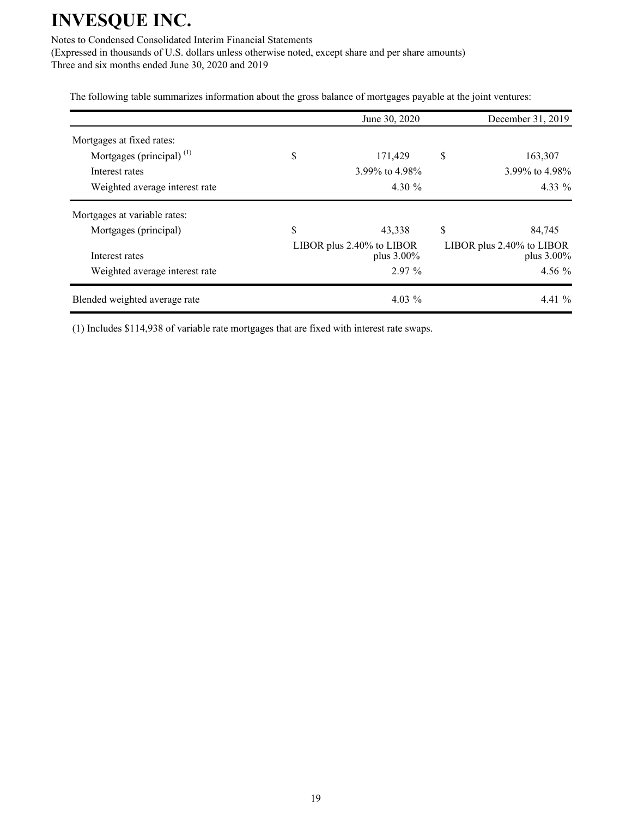Notes to Condensed Consolidated Interim Financial Statements

(Expressed in thousands of U.S. dollars unless otherwise noted, except share and per share amounts) Three and six months ended June 30, 2020 and 2019

The following table summarizes information about the gross balance of mortgages payable at the joint ventures:

|                                                       | June 30, 2020                           | December 31, 2019                       |
|-------------------------------------------------------|-----------------------------------------|-----------------------------------------|
| Mortgages at fixed rates:                             |                                         |                                         |
| Mortgages (principal) $^{(1)}$                        | \$<br>171,429                           | \$<br>163,307                           |
| Interest rates                                        | 3.99% to 4.98%                          | 3.99% to 4.98%                          |
| Weighted average interest rate                        | 4.30 $\%$                               | $4.33\%$                                |
| Mortgages at variable rates:<br>Mortgages (principal) | \$<br>43,338                            | \$<br>84,745                            |
| Interest rates                                        | LIBOR plus 2.40% to LIBOR<br>plus 3.00% | LIBOR plus 2.40% to LIBOR<br>plus 3.00% |
| Weighted average interest rate                        | $2.97\%$                                | 4.56 $%$                                |
|                                                       |                                         |                                         |

(1) Includes \$114,938 of variable rate mortgages that are fixed with interest rate swaps.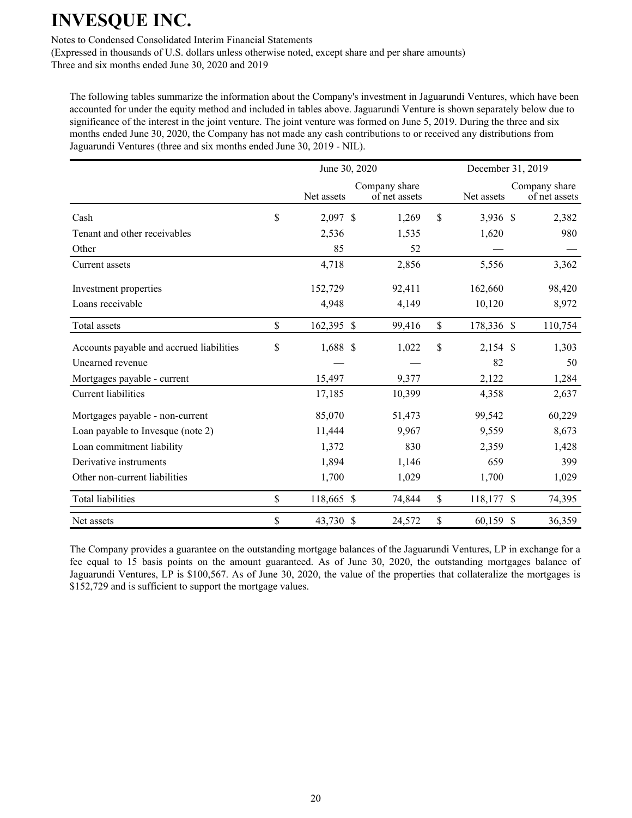Notes to Condensed Consolidated Interim Financial Statements

(Expressed in thousands of U.S. dollars unless otherwise noted, except share and per share amounts) Three and six months ended June 30, 2020 and 2019

The following tables summarize the information about the Company's investment in Jaguarundi Ventures, which have been accounted for under the equity method and included in tables above. Jaguarundi Venture is shown separately below due to significance of the interest in the joint venture. The joint venture was formed on June 5, 2019. During the three and six months ended June 30, 2020, the Company has not made any cash contributions to or received any distributions from Jaguarundi Ventures (three and six months ended June 30, 2019 - NIL).

|                                          | June 30, 2020    |  |                                |               |            | December 31, 2019 |                                |  |  |
|------------------------------------------|------------------|--|--------------------------------|---------------|------------|-------------------|--------------------------------|--|--|
|                                          | Net assets       |  | Company share<br>of net assets |               | Net assets |                   | Company share<br>of net assets |  |  |
| Cash                                     | \$<br>2,097 \$   |  | 1,269                          | $\mathsf{\$}$ | 3,936 \$   |                   | 2,382                          |  |  |
| Tenant and other receivables             | 2,536            |  | 1,535                          |               | 1,620      |                   | 980                            |  |  |
| Other                                    | 85               |  | 52                             |               |            |                   |                                |  |  |
| Current assets                           | 4,718            |  | 2,856                          |               | 5,556      |                   | 3,362                          |  |  |
| Investment properties                    | 152,729          |  | 92,411                         |               | 162,660    |                   | 98,420                         |  |  |
| Loans receivable                         | 4,948            |  | 4,149                          |               | 10,120     |                   | 8,972                          |  |  |
| Total assets                             | \$<br>162,395 \$ |  | 99,416                         | \$            | 178,336 \$ |                   | 110,754                        |  |  |
| Accounts payable and accrued liabilities | \$<br>1,688 \$   |  | 1,022                          | \$            | $2,154$ \$ |                   | 1,303                          |  |  |
| Unearned revenue                         |                  |  |                                |               | 82         |                   | 50                             |  |  |
| Mortgages payable - current              | 15,497           |  | 9,377                          |               | 2,122      |                   | 1,284                          |  |  |
| <b>Current liabilities</b>               | 17,185           |  | 10,399                         |               | 4,358      |                   | 2,637                          |  |  |
| Mortgages payable - non-current          | 85,070           |  | 51,473                         |               | 99,542     |                   | 60,229                         |  |  |
| Loan payable to Invesque (note 2)        | 11,444           |  | 9,967                          |               | 9,559      |                   | 8,673                          |  |  |
| Loan commitment liability                | 1,372            |  | 830                            |               | 2,359      |                   | 1,428                          |  |  |
| Derivative instruments                   | 1,894            |  | 1,146                          |               | 659        |                   | 399                            |  |  |
| Other non-current liabilities            | 1,700            |  | 1,029                          |               | 1,700      |                   | 1,029                          |  |  |
| <b>Total liabilities</b>                 | \$<br>118,665 \$ |  | 74,844                         | \$            | 118,177 \$ |                   | 74,395                         |  |  |
| Net assets                               | \$<br>43,730 \$  |  | 24,572                         | \$            | 60,159 \$  |                   | 36,359                         |  |  |

The Company provides a guarantee on the outstanding mortgage balances of the Jaguarundi Ventures, LP in exchange for a fee equal to 15 basis points on the amount guaranteed. As of June 30, 2020, the outstanding mortgages balance of Jaguarundi Ventures, LP is \$100,567. As of June 30, 2020, the value of the properties that collateralize the mortgages is \$152,729 and is sufficient to support the mortgage values.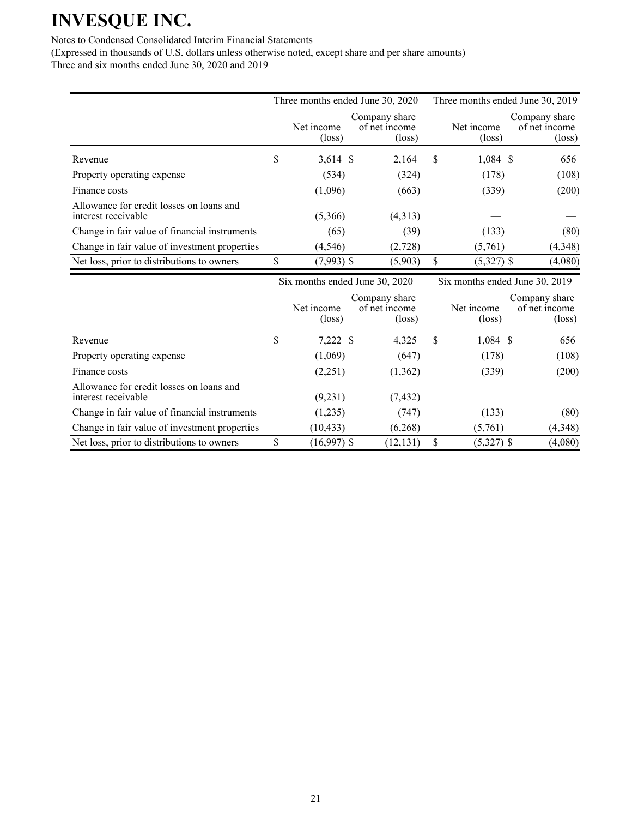### Notes to Condensed Consolidated Interim Financial Statements

Allowance for credit losses on loans and

(Expressed in thousands of U.S. dollars unless otherwise noted, except share and per share amounts) Three and six months ended June 30, 2020 and 2019

|                                                                 |                                | Three months ended June 30, 2020                  |                               | Three months ended June 30, 2019                  |
|-----------------------------------------------------------------|--------------------------------|---------------------------------------------------|-------------------------------|---------------------------------------------------|
|                                                                 | Net income<br>$(\text{loss})$  | Company share<br>of net income<br>$(\text{loss})$ | Net income<br>$(\text{loss})$ | Company share<br>of net income<br>$(\text{loss})$ |
| Revenue                                                         | \$<br>$3,614$ \$               | 2,164                                             | \$<br>$1,084$ \$              | 656                                               |
| Property operating expense                                      | (534)                          | (324)                                             | (178)                         | (108)                                             |
| Finance costs                                                   | (1,096)                        | (663)                                             | (339)                         | (200)                                             |
| Allowance for credit losses on loans and<br>interest receivable | (5,366)                        | (4,313)                                           |                               |                                                   |
| Change in fair value of financial instruments                   | (65)                           | (39)                                              | (133)                         | (80)                                              |
| Change in fair value of investment properties                   | (4, 546)                       | (2,728)                                           | (5,761)                       | (4,348)                                           |
| Net loss, prior to distributions to owners                      | \$<br>$(7,993)$ \$             | (5,903)                                           | \$<br>$(5,327)$ \$            | (4,080)                                           |
|                                                                 | Six months ended June 30, 2020 |                                                   |                               | Six months ended June 30, 2019                    |
|                                                                 | Net income<br>$(\text{loss})$  | Company share<br>of net income<br>$(\text{loss})$ | Net income<br>$(\text{loss})$ | Company share<br>of net income<br>$(\text{loss})$ |

Revenue 5 \$ 7,222 \$ 4,325 \$ 1,084 \$ 656 Property operating expense (1,069) (647) (178) (108) Finance costs (2,251)  $(1,362)$   $(339)$   $(200)$ 

interest receivable  $(9,231)$   $(7,432)$  — — Change in fair value of financial instruments (1,235) (747) (133) (80) Change in fair value of investment properties (10,433) (6,268) (5,761) (4,348) Net loss, prior to distributions to owners  $\qquad$  \$ (16,997) \$ (12,131) \$ (5,327) \$ (4,080)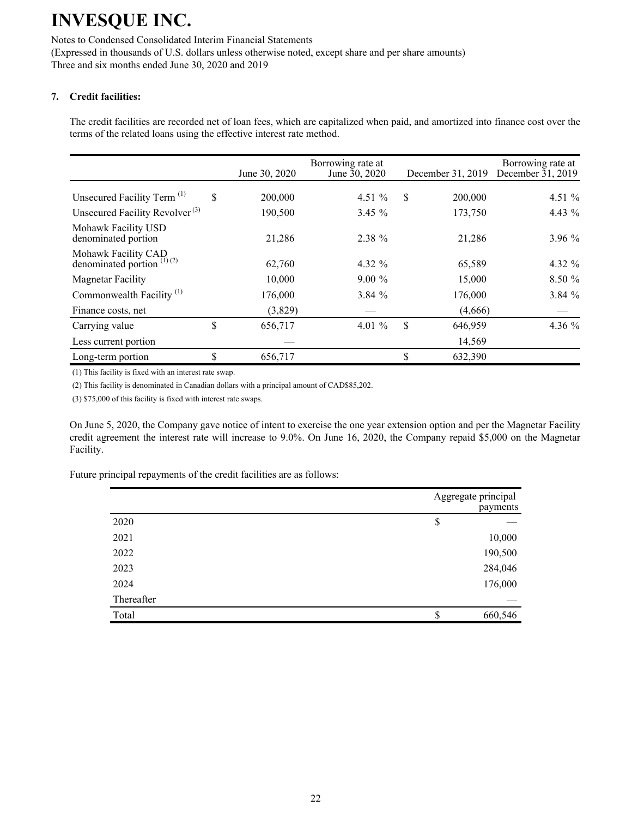Notes to Condensed Consolidated Interim Financial Statements (Expressed in thousands of U.S. dollars unless otherwise noted, except share and per share amounts) Three and six months ended June 30, 2020 and 2019

### **7. Credit facilities:**

The credit facilities are recorded net of loan fees, which are capitalized when paid, and amortized into finance cost over the terms of the related loans using the effective interest rate method.

|                                                     | June 30, 2020 | Borrowing rate at<br>June 30, 2020 |    | December 31, 2019 | Borrowing rate at<br>December $31, 2019$ |
|-----------------------------------------------------|---------------|------------------------------------|----|-------------------|------------------------------------------|
| Unsecured Facility Term <sup>(1)</sup>              | \$<br>200,000 | 4.51 $%$                           | S  | 200,000           | 4.51 $%$                                 |
| Unsecured Facility Revolver <sup>(3)</sup>          | 190,500       | $3.45 \%$                          |    | 173,750           | 4.43 %                                   |
| Mohawk Facility USD<br>denominated portion          | 21,286        | 2.38 %                             |    | 21,286            | 3.96%                                    |
| Mohawk Facility CAD<br>denominated portion $(1)(2)$ | 62,760        | 4.32 $%$                           |    | 65,589            | 4.32 %                                   |
| <b>Magnetar Facility</b>                            | 10,000        | $9.00\%$                           |    | 15,000            | 8.50%                                    |
| Commonwealth Facility <sup>(1)</sup>                | 176,000       | 3.84%                              |    | 176,000           | 3.84 %                                   |
| Finance costs, net                                  | (3,829)       |                                    |    | (4,666)           |                                          |
| Carrying value                                      | \$<br>656,717 | 4.01 $%$                           | \$ | 646,959           | 4.36 $%$                                 |
| Less current portion                                |               |                                    |    | 14,569            |                                          |
| Long-term portion                                   | \$<br>656,717 |                                    | \$ | 632,390           |                                          |

(1) This facility is fixed with an interest rate swap.

(2) This facility is denominated in Canadian dollars with a principal amount of CAD\$85,202.

(3) \$75,000 of this facility is fixed with interest rate swaps.

On June 5, 2020, the Company gave notice of intent to exercise the one year extension option and per the Magnetar Facility credit agreement the interest rate will increase to 9.0%. On June 16, 2020, the Company repaid \$5,000 on the Magnetar Facility.

Future principal repayments of the credit facilities are as follows:

|            | Aggregate principal<br>payments |
|------------|---------------------------------|
| 2020       | \$                              |
| 2021       | 10,000                          |
| 2022       | 190,500                         |
| 2023       | 284,046                         |
| 2024       | 176,000                         |
| Thereafter |                                 |
| Total      | \$<br>660,546                   |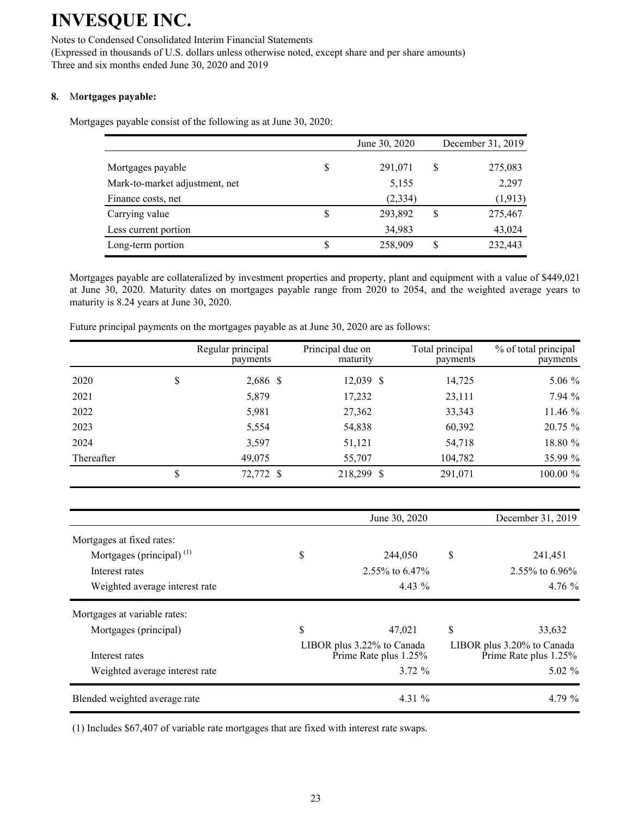#### Notes to Condensed Consolidated Interim Financial Statements

(Expressed in thousands of U.S. dollars unless otherwise noted, except share and per share amounts) Three and six months ended June 30, 2020 and 2019

### **8.** M**ortgages payable:**

Mortgages payable consist of the following as at June 30, 2020:

|                                |    | June 30, 2020 | December 31, 2019 |
|--------------------------------|----|---------------|-------------------|
| Mortgages payable              | S  | 291,071       | \$<br>275,083     |
| Mark-to-market adjustment, net |    | 5,155         | 2,297             |
| Finance costs, net             |    | (2, 334)      | (1, 913)          |
| Carrying value                 | S  | 293,892       | \$<br>275,467     |
| Less current portion           |    | 34,983        | 43,024            |
| Long-term portion              | \$ | 258,909       | \$<br>232,443     |

Mortgages payable are collateralized by investment properties and property, plant and equipment with a value of \$449,021 at June 30, 2020. Maturity dates on mortgages payable range from 2020 to 2054, and the weighted average years to maturity is 8.24 years at June 30, 2020.

|            | Regular principal<br>payments | Principal due on<br>maturity | Total principal<br>payments | % of total principal<br>payments |
|------------|-------------------------------|------------------------------|-----------------------------|----------------------------------|
| 2020       | \$<br>2,686 \$                | $12,039$ \$                  | 14,725                      | $5.06\%$                         |
| 2021       | 5,879                         | 17,232                       | 23,111                      | 7.94 %                           |
| 2022       | 5,981                         | 27,362                       | 33,343                      | 11.46 %                          |
| 2023       | 5,554                         | 54,838                       | 60,392                      | 20.75 %                          |
| 2024       | 3,597                         | 51,121                       | 54,718                      | 18.80 %                          |
| Thereafter | 49,075                        | 55,707                       | 104,782                     | 35.99 %                          |
|            | 72,772 \$                     | 218,299 \$                   | 291,071                     | 100.00 %                         |

Future principal payments on the mortgages payable as at June 30, 2020 are as follows:

|                                | June 30, 2020                                       | December 31, 2019                                   |
|--------------------------------|-----------------------------------------------------|-----------------------------------------------------|
| Mortgages at fixed rates:      |                                                     |                                                     |
| Mortgages (principal) $(1)$    | \$<br>244,050                                       | \$<br>241,451                                       |
| Interest rates                 | $2.55\%$ to 6.47%                                   | 2.55\% to 6.96\%                                    |
| Weighted average interest rate | $4.43\%$                                            | $4.76\%$                                            |
| Mortgages at variable rates:   |                                                     |                                                     |
| Mortgages (principal)          | \$<br>47.021                                        | \$<br>33,632                                        |
| Interest rates                 | LIBOR plus 3.22% to Canada<br>Prime Rate plus 1.25% | LIBOR plus 3.20% to Canada<br>Prime Rate plus 1.25% |
| Weighted average interest rate | 3.72%                                               | $5.02\%$                                            |
| Blended weighted average rate  | 4.31 $\%$                                           | 4.79 $\%$                                           |

(1) Includes \$67,407 of variable rate mortgages that are fixed with interest rate swaps.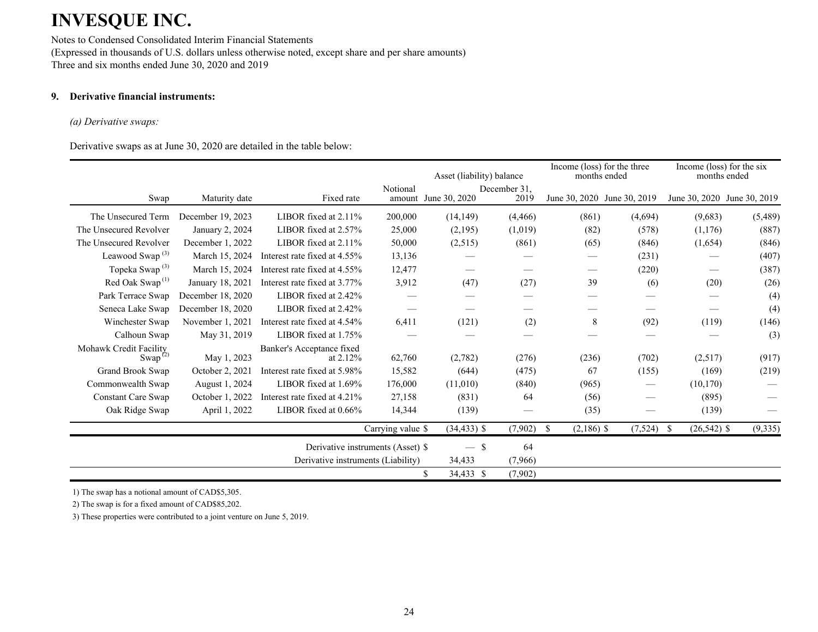Notes to Condensed Consolidated Interim Financial Statements (Expressed in thousands of U.S. dollars unless otherwise noted, except share and per share amounts) Three and six months ended June 30, 2020 and 2019

### **9. Derivative financial instruments:**

#### *(a) Derivative swaps:*

Derivative swaps as at June 30, 2020 are detailed in the table below:

|                                                            |                   |                                         |                   | Asset (liability) balance |                      | Income (loss) for the three<br>months ended |                             | Income (loss) for the six<br>months ended |          |
|------------------------------------------------------------|-------------------|-----------------------------------------|-------------------|---------------------------|----------------------|---------------------------------------------|-----------------------------|-------------------------------------------|----------|
| Swap                                                       | Maturity date     | Fixed rate                              | Notional          | amount June 30, 2020      | December 31.<br>2019 |                                             | June 30, 2020 June 30, 2019 | June 30, 2020 June 30, 2019               |          |
| The Unsecured Term                                         | December 19, 2023 | LIBOR fixed at $2.11\%$                 | 200,000           | (14, 149)                 | (4, 466)             | (861)                                       | (4,694)                     | (9,683)                                   | (5,489)  |
| The Unsecured Revolver                                     | January 2, 2024   | LIBOR fixed at 2.57%                    | 25,000            | (2,195)                   | (1,019)              | (82)                                        | (578)                       | (1,176)                                   | (887)    |
| The Unsecured Revolver                                     | December 1, 2022  | LIBOR fixed at 2.11%                    | 50,000            | (2,515)                   | (861)                | (65)                                        | (846)                       | (1,654)                                   | (846)    |
| Leawood Swap <sup>(3)</sup>                                | March 15, 2024    | Interest rate fixed at 4.55%            | 13,136            |                           |                      |                                             | (231)                       |                                           | (407)    |
| Topeka Swap <sup>(3)</sup>                                 | March 15, 2024    | Interest rate fixed at 4.55%            | 12,477            |                           |                      |                                             | (220)                       |                                           | (387)    |
| Red Oak Swap <sup>(1)</sup>                                | January 18, 2021  | Interest rate fixed at 3.77%            | 3,912             | (47)                      | (27)                 | 39                                          | (6)                         | (20)                                      | (26)     |
| Park Terrace Swap                                          | December 18, 2020 | LIBOR fixed at 2.42%                    |                   |                           |                      |                                             |                             |                                           | (4)      |
| Seneca Lake Swap                                           | December 18, 2020 | LIBOR fixed at 2.42%                    |                   |                           |                      |                                             |                             |                                           | (4)      |
| Winchester Swap                                            | November 1, 2021  | Interest rate fixed at 4.54%            | 6,411             | (121)                     | (2)                  | 8                                           | (92)                        | (119)                                     | (146)    |
| Calhoun Swap                                               | May 31, 2019      | LIBOR fixed at 1.75%                    |                   |                           |                      |                                             |                             |                                           | (3)      |
| Mohawk Credit Facility<br>Swap <sup><math>(2)</math></sup> | May 1, 2023       | Banker's Acceptance fixed<br>at $2.12%$ | 62,760            | (2,782)                   | (276)                | (236)                                       | (702)                       | (2,517)                                   | (917)    |
| Grand Brook Swap                                           | October 2, 2021   | Interest rate fixed at 5.98%            | 15,582            | (644)                     | (475)                | 67                                          | (155)                       | (169)                                     | (219)    |
| Commonwealth Swap                                          | August 1, 2024    | LIBOR fixed at 1.69%                    | 176,000           | (11,010)                  | (840)                | (965)                                       |                             | (10, 170)                                 |          |
| <b>Constant Care Swap</b>                                  | October 1, 2022   | Interest rate fixed at 4.21%            | 27,158            | (831)                     | 64                   | (56)                                        |                             | (895)                                     |          |
| Oak Ridge Swap                                             | April 1, 2022     | LIBOR fixed at 0.66%                    | 14,344            | (139)                     |                      | (35)                                        |                             | (139)                                     |          |
|                                                            |                   |                                         | Carrying value \$ | $(34, 433)$ \$            | (7,902)              | <sup>\$</sup><br>$(2,186)$ \$               | (7,524)                     | \$<br>$(26, 542)$ \$                      | (9, 335) |
|                                                            |                   | Derivative instruments (Asset) \$       |                   | $-$ \$                    | 64                   |                                             |                             |                                           |          |
|                                                            |                   | Derivative instruments (Liability)      |                   | 34,433                    | (7,966)              |                                             |                             |                                           |          |
|                                                            |                   |                                         |                   | \$<br>34,433 \$           | (7,902)              |                                             |                             |                                           |          |

1) The swap has a notional amount of CAD\$5,305.

2) The swap is for a fixed amount of CAD\$85,202.

3) These properties were contributed to a joint venture on June 5, 2019.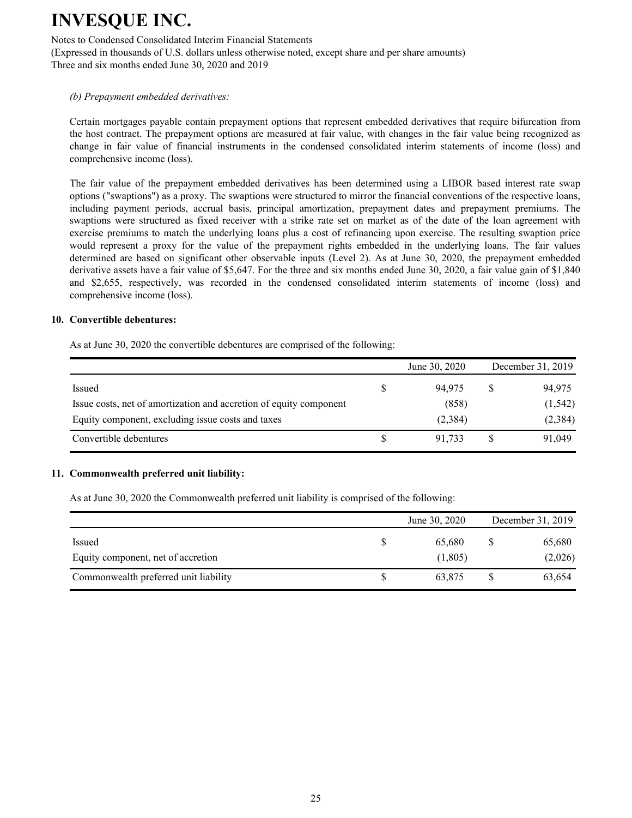Notes to Condensed Consolidated Interim Financial Statements

(Expressed in thousands of U.S. dollars unless otherwise noted, except share and per share amounts) Three and six months ended June 30, 2020 and 2019

#### *(b) Prepayment embedded derivatives:*

Certain mortgages payable contain prepayment options that represent embedded derivatives that require bifurcation from the host contract. The prepayment options are measured at fair value, with changes in the fair value being recognized as change in fair value of financial instruments in the condensed consolidated interim statements of income (loss) and comprehensive income (loss).

The fair value of the prepayment embedded derivatives has been determined using a LIBOR based interest rate swap options ("swaptions") as a proxy. The swaptions were structured to mirror the financial conventions of the respective loans, including payment periods, accrual basis, principal amortization, prepayment dates and prepayment premiums. The swaptions were structured as fixed receiver with a strike rate set on market as of the date of the loan agreement with exercise premiums to match the underlying loans plus a cost of refinancing upon exercise. The resulting swaption price would represent a proxy for the value of the prepayment rights embedded in the underlying loans. The fair values determined are based on significant other observable inputs (Level 2). As at June 30, 2020, the prepayment embedded derivative assets have a fair value of \$5,647. For the three and six months ended June 30, 2020, a fair value gain of \$1,840 and \$2,655, respectively, was recorded in the condensed consolidated interim statements of income (loss) and comprehensive income (loss).

#### **10. Convertible debentures:**

As at June 30, 2020 the convertible debentures are comprised of the following:

|                                                                    |   | June 30, 2020 | December 31, 2019 |
|--------------------------------------------------------------------|---|---------------|-------------------|
| Issued                                                             | S | 94.975        | 94,975            |
| Issue costs, net of amortization and accretion of equity component |   | (858)         | (1, 542)          |
| Equity component, excluding issue costs and taxes                  |   | (2,384)       | (2, 384)          |
| Convertible debentures                                             | S | 91.733        | 91,049            |

#### **11. Commonwealth preferred unit liability:**

As at June 30, 2020 the Commonwealth preferred unit liability is comprised of the following:

|                                       |   | June 30, 2020 | December 31, 2019 |
|---------------------------------------|---|---------------|-------------------|
| Issued                                | S | 65.680        | 65,680            |
| Equity component, net of accretion    |   | (1,805)       | (2,026)           |
| Commonwealth preferred unit liability |   | 63,875        | 63,654            |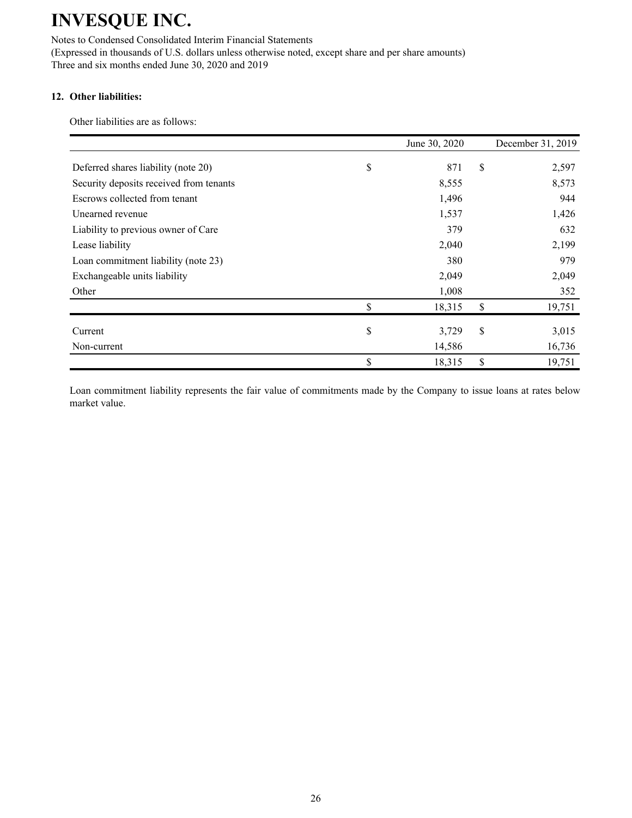Notes to Condensed Consolidated Interim Financial Statements (Expressed in thousands of U.S. dollars unless otherwise noted, except share and per share amounts) Three and six months ended June 30, 2020 and 2019

### **12. Other liabilities:**

Other liabilities are as follows:

|                                         | June 30, 2020 | December 31, 2019 |
|-----------------------------------------|---------------|-------------------|
| Deferred shares liability (note 20)     | \$<br>871     | \$<br>2,597       |
| Security deposits received from tenants | 8,555         | 8,573             |
| Escrows collected from tenant           | 1,496         | 944               |
| Unearned revenue                        | 1,537         | 1,426             |
| Liability to previous owner of Care     | 379           | 632               |
| Lease liability                         | 2,040         | 2,199             |
| Loan commitment liability (note 23)     | 380           | 979               |
| Exchangeable units liability            | 2,049         | 2,049             |
| Other                                   | 1,008         | 352               |
|                                         | \$<br>18,315  | \$<br>19,751      |
| Current                                 | \$<br>3,729   | \$<br>3,015       |
| Non-current                             | 14,586        | 16,736            |
|                                         | \$<br>18,315  | \$<br>19,751      |

Loan commitment liability represents the fair value of commitments made by the Company to issue loans at rates below market value.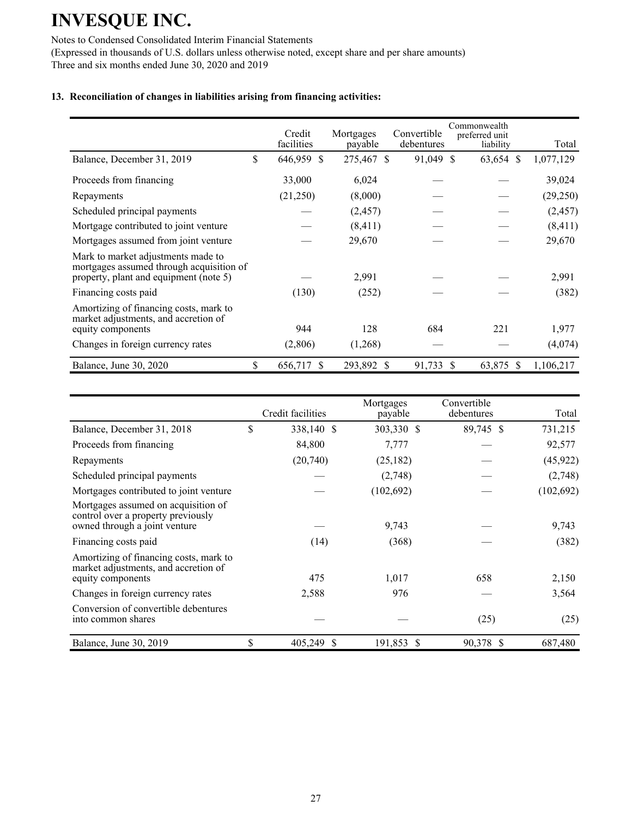Notes to Condensed Consolidated Interim Financial Statements

(Expressed in thousands of U.S. dollars unless otherwise noted, except share and per share amounts) Three and six months ended June 30, 2020 and 2019

### **13. Reconciliation of changes in liabilities arising from financing activities:**

|                                                                                                                          | Credit<br>facilities          | Mortgages<br>payable | Convertible<br>debentures | Commonwealth<br>preferred unit<br>liability | Total     |
|--------------------------------------------------------------------------------------------------------------------------|-------------------------------|----------------------|---------------------------|---------------------------------------------|-----------|
| Balance, December 31, 2019                                                                                               | \$<br>646,959<br>S            | 275,467 \$           | 91,049 \$                 | 63,654 \$                                   | 1,077,129 |
| Proceeds from financing                                                                                                  | 33,000                        | 6,024                |                           |                                             | 39,024    |
| Repayments                                                                                                               | (21,250)                      | (8,000)              |                           |                                             | (29,250)  |
| Scheduled principal payments                                                                                             |                               | (2, 457)             |                           |                                             | (2, 457)  |
| Mortgage contributed to joint venture.                                                                                   |                               | (8, 411)             |                           |                                             | (8, 411)  |
| Mortgages assumed from joint venture                                                                                     |                               | 29,670               |                           |                                             | 29,670    |
| Mark to market adjustments made to<br>mortgages assumed through acquisition of<br>property, plant and equipment (note 5) |                               | 2,991                |                           |                                             | 2,991     |
| Financing costs paid                                                                                                     | (130)                         | (252)                |                           |                                             | (382)     |
| Amortizing of financing costs, mark to<br>market adjustments, and accretion of<br>equity components                      | 944                           | 128                  | 684                       | 221                                         | 1,977     |
| Changes in foreign currency rates                                                                                        | (2,806)                       | (1,268)              |                           |                                             | (4,074)   |
| Balance, June 30, 2020                                                                                                   | \$<br>656,717<br><sup>S</sup> | 293,892 \$           | 91,733 \$                 | 63,875 \$                                   | 1,106,217 |

|                                                                                                            | Credit facilities | Mortgages<br>payable | Convertible<br>debentures | Total      |
|------------------------------------------------------------------------------------------------------------|-------------------|----------------------|---------------------------|------------|
| Balance, December 31, 2018                                                                                 | \$<br>338,140 \$  | 303,330 \$           | 89,745 \$                 | 731,215    |
| Proceeds from financing                                                                                    | 84,800            | 7,777                |                           | 92,577     |
| Repayments                                                                                                 | (20,740)          | (25, 182)            |                           | (45, 922)  |
| Scheduled principal payments                                                                               |                   | (2,748)              |                           | (2,748)    |
| Mortgages contributed to joint venture                                                                     |                   | (102, 692)           |                           | (102, 692) |
| Mortgages assumed on acquisition of<br>control over a property previously<br>owned through a joint venture |                   | 9,743                |                           | 9,743      |
| Financing costs paid                                                                                       | (14)              | (368)                |                           | (382)      |
| Amortizing of financing costs, mark to<br>market adjustments, and accretion of<br>equity components        | 475               | 1,017                | 658                       | 2,150      |
| Changes in foreign currency rates                                                                          | 2,588             | 976                  |                           | 3,564      |
| Conversion of convertible debentures<br>into common shares                                                 |                   |                      | (25)                      | (25)       |
| Balance, June 30, 2019                                                                                     | \$<br>405,249 \$  | 191,853 \$           | 90,378 \$                 | 687,480    |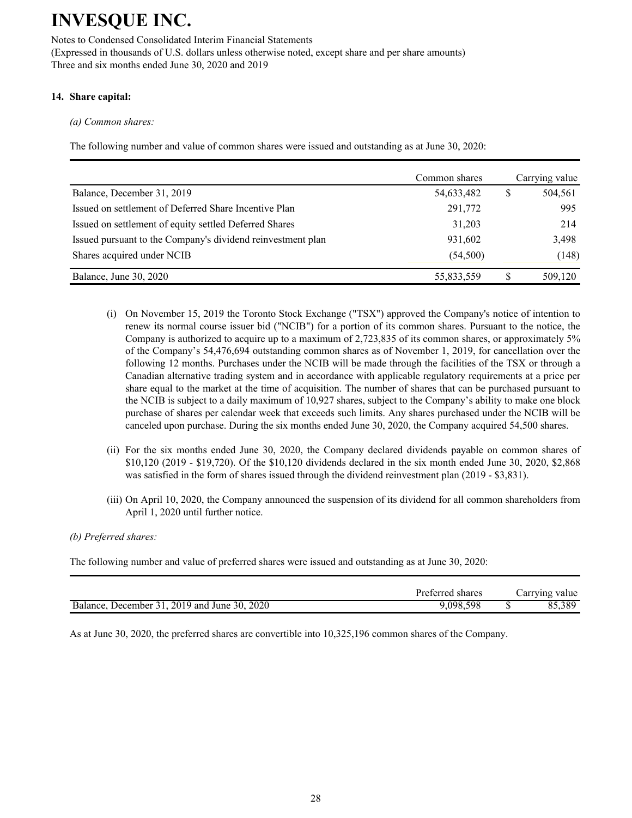Notes to Condensed Consolidated Interim Financial Statements (Expressed in thousands of U.S. dollars unless otherwise noted, except share and per share amounts) Three and six months ended June 30, 2020 and 2019

### **14. Share capital:**

*(a) Common shares:*

The following number and value of common shares were issued and outstanding as at June 30, 2020:

|                                                             | Common shares |   | Carrying value |
|-------------------------------------------------------------|---------------|---|----------------|
| Balance, December 31, 2019                                  | 54,633,482    | S | 504,561        |
| Issued on settlement of Deferred Share Incentive Plan       | 291,772       |   | 995            |
| Issued on settlement of equity settled Deferred Shares      | 31,203        |   | 214            |
| Issued pursuant to the Company's dividend reinvestment plan | 931,602       |   | 3,498          |
| Shares acquired under NCIB                                  | (54, 500)     |   | (148)          |
| Balance, June 30, 2020                                      | 55,833,559    |   | 509,120        |

- (i) On November 15, 2019 the Toronto Stock Exchange ("TSX") approved the Company's notice of intention to renew its normal course issuer bid ("NCIB") for a portion of its common shares. Pursuant to the notice, the Company is authorized to acquire up to a maximum of 2,723,835 of its common shares, or approximately 5% of the Company's 54,476,694 outstanding common shares as of November 1, 2019, for cancellation over the following 12 months. Purchases under the NCIB will be made through the facilities of the TSX or through a Canadian alternative trading system and in accordance with applicable regulatory requirements at a price per share equal to the market at the time of acquisition. The number of shares that can be purchased pursuant to the NCIB is subject to a daily maximum of 10,927 shares, subject to the Company's ability to make one block purchase of shares per calendar week that exceeds such limits. Any shares purchased under the NCIB will be canceled upon purchase. During the six months ended June 30, 2020, the Company acquired 54,500 shares.
- (ii) For the six months ended June 30, 2020, the Company declared dividends payable on common shares of \$10,120 (2019 - \$19,720). Of the \$10,120 dividends declared in the six month ended June 30, 2020, \$2,868 was satisfied in the form of shares issued through the dividend reinvestment plan (2019 - \$3,831).
- (iii) On April 10, 2020, the Company announced the suspension of its dividend for all common shareholders from April 1, 2020 until further notice.

### *(b) Preferred shares:*

The following number and value of preferred shares were issued and outstanding as at June 30, 2020:

|                                                 | Preferred shares | Carrying value |
|-------------------------------------------------|------------------|----------------|
| December 31, 2019 and June 30, 2020<br>Balance. | 9.098.598        | 55,389         |

As at June 30, 2020, the preferred shares are convertible into 10,325,196 common shares of the Company.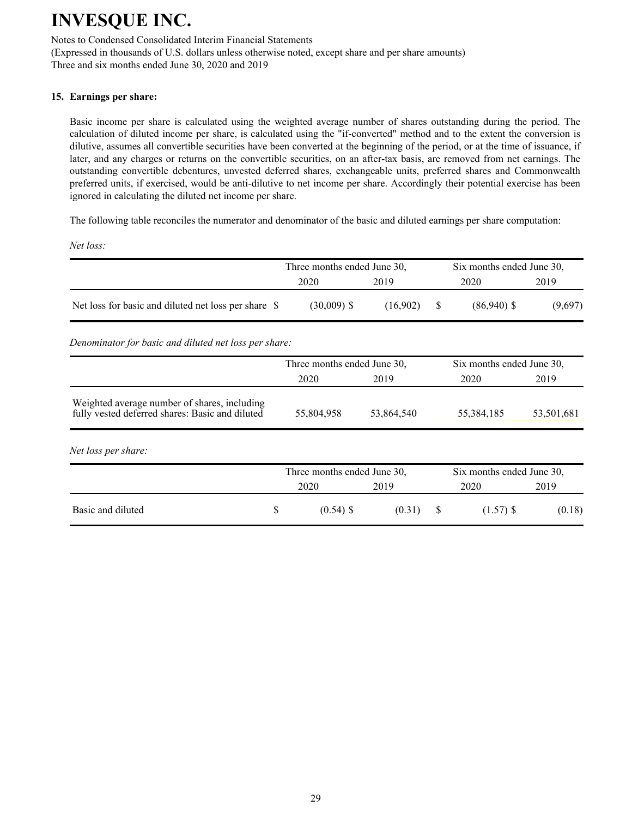Notes to Condensed Consolidated Interim Financial Statements (Expressed in thousands of U.S. dollars unless otherwise noted, except share and per share amounts)

Three and six months ended June 30, 2020 and 2019

### **15. Earnings per share:**

Basic income per share is calculated using the weighted average number of shares outstanding during the period. The calculation of diluted income per share, is calculated using the "if-converted" method and to the extent the conversion is dilutive, assumes all convertible securities have been converted at the beginning of the period, or at the time of issuance, if later, and any charges or returns on the convertible securities, on an after-tax basis, are removed from net earnings. The outstanding convertible debentures, unvested deferred shares, exchangeable units, preferred shares and Commonwealth preferred units, if exercised, would be anti-dilutive to net income per share. Accordingly their potential exercise has been ignored in calculating the diluted net income per share.

The following table reconciles the numerator and denominator of the basic and diluted earnings per share computation:

*Net loss:*

|                                                      | Three months ended June 30, |          | Six months ended June 30, |         |  |  |  |
|------------------------------------------------------|-----------------------------|----------|---------------------------|---------|--|--|--|
|                                                      | 2020                        | 2019     | 2020                      | 2019    |  |  |  |
| Net loss for basic and diluted net loss per share \$ | $(30,009)$ \$               | (16.902) | $(86,940)$ \$             | (9,697) |  |  |  |

*Denominator for basic and diluted net loss per share:*

|                                                                                                 |   | Three months ended June 30, |            |   | Six months ended June 30, |            |  |  |
|-------------------------------------------------------------------------------------------------|---|-----------------------------|------------|---|---------------------------|------------|--|--|
|                                                                                                 |   | 2020                        | 2019       |   | 2020                      | 2019       |  |  |
| Weighted average number of shares, including<br>fully vested deferred shares: Basic and diluted |   | 55,804,958                  | 53,864,540 |   | 55,384,185                | 53,501,681 |  |  |
| Net loss per share:                                                                             |   |                             |            |   |                           |            |  |  |
|                                                                                                 |   | Three months ended June 30, |            |   | Six months ended June 30, |            |  |  |
|                                                                                                 |   | 2020                        | 2019       |   | 2020                      | 2019       |  |  |
| Basic and diluted                                                                               | S | $(0.54)$ \$                 | (0.31)     | S | $(1.57)$ \$               | (0.18)     |  |  |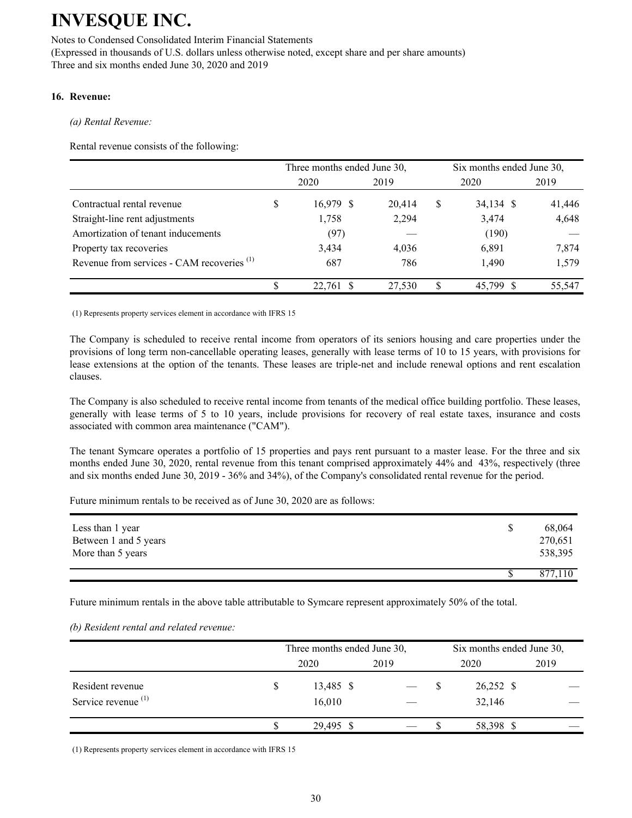Notes to Condensed Consolidated Interim Financial Statements (Expressed in thousands of U.S. dollars unless otherwise noted, except share and per share amounts) Three and six months ended June 30, 2020 and 2019

### **16. Revenue:**

*(a) Rental Revenue:*

Rental revenue consists of the following:

|                                                       |   | Three months ended June 30, |        | Six months ended June 30, |        |  |  |  |
|-------------------------------------------------------|---|-----------------------------|--------|---------------------------|--------|--|--|--|
|                                                       |   | 2020                        | 2019   | 2020                      | 2019   |  |  |  |
| Contractual rental revenue                            | S | 16,979 \$                   | 20,414 | \$<br>34,134 \$           | 41,446 |  |  |  |
| Straight-line rent adjustments                        |   | 1,758                       | 2,294  | 3,474                     | 4,648  |  |  |  |
| Amortization of tenant inducements                    |   | (97)                        |        | (190)                     |        |  |  |  |
| Property tax recoveries                               |   | 3,434                       | 4,036  | 6,891                     | 7,874  |  |  |  |
| Revenue from services - CAM recoveries <sup>(1)</sup> |   | 687                         | 786    | 1,490                     | 1,579  |  |  |  |
|                                                       |   | 22,761 \$                   | 27,530 | 45.799 \$                 | 55,547 |  |  |  |

(1) Represents property services element in accordance with IFRS 15

The Company is scheduled to receive rental income from operators of its seniors housing and care properties under the provisions of long term non-cancellable operating leases, generally with lease terms of 10 to 15 years, with provisions for lease extensions at the option of the tenants. These leases are triple-net and include renewal options and rent escalation clauses.

The Company is also scheduled to receive rental income from tenants of the medical office building portfolio. These leases, generally with lease terms of 5 to 10 years, include provisions for recovery of real estate taxes, insurance and costs associated with common area maintenance ("CAM").

The tenant Symcare operates a portfolio of 15 properties and pays rent pursuant to a master lease. For the three and six months ended June 30, 2020, rental revenue from this tenant comprised approximately 44% and 43%, respectively (three and six months ended June 30, 2019 - 36% and 34%), of the Company's consolidated rental revenue for the period.

Future minimum rentals to be received as of June 30, 2020 are as follows:

| Less than 1 year<br>Between 1 and 5 years<br>More than 5 years | 68,064<br>270,651<br>538,395 |
|----------------------------------------------------------------|------------------------------|
|                                                                | 877,110                      |

Future minimum rentals in the above table attributable to Symcare represent approximately 50% of the total.

#### *(b) Resident rental and related revenue:*

|                                                    |    | Three months ended June 30, |      | Six months ended June 30, |                     |      |  |  |
|----------------------------------------------------|----|-----------------------------|------|---------------------------|---------------------|------|--|--|
|                                                    |    | 2020                        | 2019 |                           | 2020                | 2019 |  |  |
| Resident revenue<br>Service revenue <sup>(1)</sup> | S. | 13,485 \$<br>16,010         |      |                           | 26,252 \$<br>32,146 |      |  |  |
|                                                    |    | 29,495 \$                   |      |                           | 58,398 \$           |      |  |  |

(1) Represents property services element in accordance with IFRS 15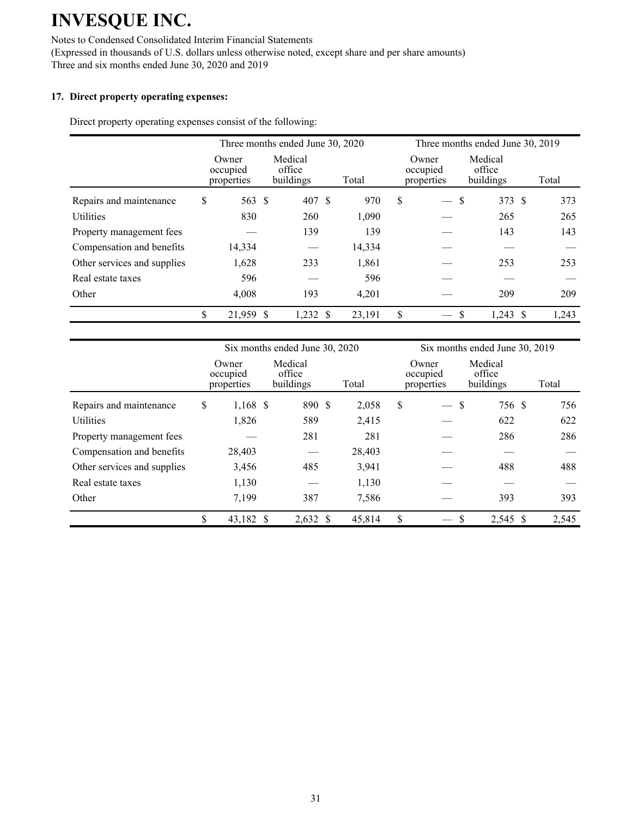Notes to Condensed Consolidated Interim Financial Statements (Expressed in thousands of U.S. dollars unless otherwise noted, except share and per share amounts) Three and six months ended June 30, 2020 and 2019

### **17. Direct property operating expenses:**

Direct property operating expenses consist of the following:

|                             |                                 |           | Three months ended June 30, 2020 |        |   | Three months ended June 30, 2019 |   |                                |  |       |
|-----------------------------|---------------------------------|-----------|----------------------------------|--------|---|----------------------------------|---|--------------------------------|--|-------|
|                             | Owner<br>occupied<br>properties |           | Medical<br>office<br>buildings   | Total  |   | Owner<br>occupied<br>properties  |   | Medical<br>office<br>buildings |  | Total |
| Repairs and maintenance     | \$                              | 563 \$    | 407 \$                           | 970    | S | $\qquad \qquad$                  | S | 373 \$                         |  | 373   |
| <b>Utilities</b>            |                                 | 830       | 260                              | 1,090  |   |                                  |   | 265                            |  | 265   |
| Property management fees    |                                 |           | 139                              | 139    |   |                                  |   | 143                            |  | 143   |
| Compensation and benefits   |                                 | 14,334    |                                  | 14,334 |   |                                  |   |                                |  |       |
| Other services and supplies |                                 | 1,628     | 233                              | 1,861  |   |                                  |   | 253                            |  | 253   |
| Real estate taxes           |                                 | 596       |                                  | 596    |   |                                  |   |                                |  |       |
| Other                       |                                 | 4,008     | 193                              | 4,201  |   |                                  |   | 209                            |  | 209   |
|                             | \$                              | 21,959 \$ | $1,232 \text{ }$ \$              | 23,191 | S |                                  | S | $1,243$ \$                     |  | 1,243 |

|                             |                                 |           | Six months ended June 30, 2020 |        |               | Six months ended June 30, 2019  |                                |  |       |  |
|-----------------------------|---------------------------------|-----------|--------------------------------|--------|---------------|---------------------------------|--------------------------------|--|-------|--|
|                             | Owner<br>occupied<br>properties |           | Medical<br>office<br>buildings | Total  |               | Owner<br>occupied<br>properties | Medical<br>office<br>buildings |  | Total |  |
| Repairs and maintenance     | \$                              | 1,168 \$  | 890 \$                         | 2,058  | $\mathcal{S}$ |                                 | 756 \$<br>S                    |  | 756   |  |
| <b>Utilities</b>            |                                 | 1,826     | 589                            | 2,415  |               |                                 | 622                            |  | 622   |  |
| Property management fees    |                                 |           | 281                            | 281    |               |                                 | 286                            |  | 286   |  |
| Compensation and benefits   |                                 | 28,403    |                                | 28,403 |               |                                 |                                |  |       |  |
| Other services and supplies |                                 | 3,456     | 485                            | 3,941  |               |                                 | 488                            |  | 488   |  |
| Real estate taxes           |                                 | 1,130     |                                | 1,130  |               |                                 |                                |  |       |  |
| Other                       |                                 | 7,199     | 387                            | 7,586  |               |                                 | 393                            |  | 393   |  |
|                             | \$                              | 43,182 \$ | 2,632 \$                       | 45,814 | \$            |                                 | -S<br>2,545 \$                 |  | 2,545 |  |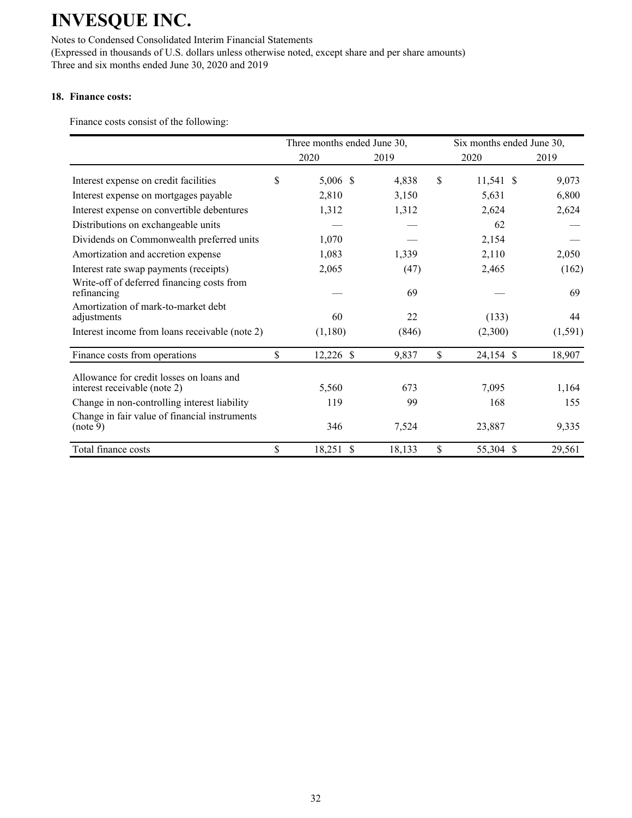Notes to Condensed Consolidated Interim Financial Statements (Expressed in thousands of U.S. dollars unless otherwise noted, except share and per share amounts) Three and six months ended June 30, 2020 and 2019

### **18. Finance costs:**

Finance costs consist of the following:

|                                                                          | Three months ended June 30,   |        | Six months ended June 30, |          |  |
|--------------------------------------------------------------------------|-------------------------------|--------|---------------------------|----------|--|
|                                                                          | 2020                          | 2019   | 2020                      | 2019     |  |
| Interest expense on credit facilities                                    | \$<br>5,006 \$                | 4,838  | \$<br>11,541 \$           | 9,073    |  |
| Interest expense on mortgages payable                                    | 2,810                         | 3,150  | 5,631                     | 6,800    |  |
| Interest expense on convertible debentures                               | 1,312                         | 1,312  | 2,624                     | 2,624    |  |
| Distributions on exchangeable units                                      |                               |        | 62                        |          |  |
| Dividends on Commonwealth preferred units                                | 1,070                         |        | 2,154                     |          |  |
| Amortization and accretion expense                                       | 1,083                         | 1,339  | 2,110                     | 2,050    |  |
| Interest rate swap payments (receipts)                                   | 2,065                         | (47)   | 2,465                     | (162)    |  |
| Write-off of deferred financing costs from<br>refinancing                |                               | 69     |                           | 69       |  |
| Amortization of mark-to-market debt<br>adjustments                       | 60                            | 22     | (133)                     | 44       |  |
| Interest income from loans receivable (note 2)                           | (1,180)                       | (846)  | (2,300)                   | (1, 591) |  |
| Finance costs from operations                                            | \$<br>$12,226$ \$             | 9,837  | \$<br>24,154 \$           | 18,907   |  |
| Allowance for credit losses on loans and<br>interest receivable (note 2) | 5,560                         | 673    | 7,095                     | 1,164    |  |
| Change in non-controlling interest liability                             | 119                           | 99     | 168                       | 155      |  |
| Change in fair value of financial instruments<br>(note 9)                | 346                           | 7,524  | 23,887                    | 9,335    |  |
| Total finance costs                                                      | \$<br>$\mathcal{S}$<br>18,251 | 18,133 | \$<br>55,304 \$           | 29,561   |  |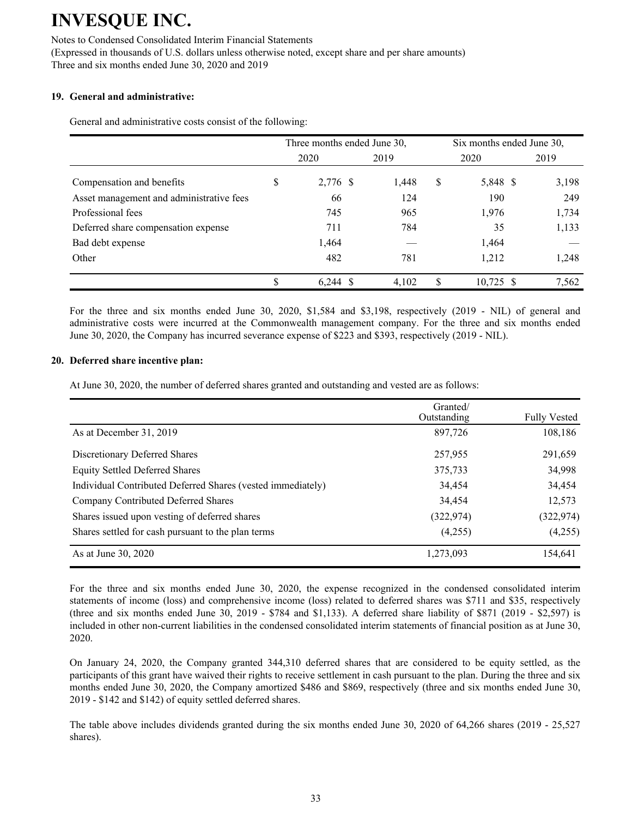#### Notes to Condensed Consolidated Interim Financial Statements

(Expressed in thousands of U.S. dollars unless otherwise noted, except share and per share amounts) Three and six months ended June 30, 2020 and 2019

#### **19. General and administrative:**

General and administrative costs consist of the following:

|                                          |      | Three months ended June 30, |       |    | Six months ended June 30, |  |       |  |
|------------------------------------------|------|-----------------------------|-------|----|---------------------------|--|-------|--|
|                                          | 2020 |                             | 2019  |    | 2020                      |  | 2019  |  |
| Compensation and benefits                | \$   | 2,776 \$                    | 1,448 | \$ | 5,848 \$                  |  | 3,198 |  |
| Asset management and administrative fees |      | 66                          | 124   |    | 190                       |  | 249   |  |
| Professional fees                        |      | 745                         | 965   |    | 1,976                     |  | 1,734 |  |
| Deferred share compensation expense      |      | 711                         | 784   |    | 35                        |  | 1,133 |  |
| Bad debt expense                         |      | 1,464                       |       |    | 1,464                     |  |       |  |
| Other                                    |      | 482                         | 781   |    | 1,212                     |  | 1,248 |  |
|                                          | \$   | $6,244$ \$                  | 4,102 | S  | $10,725$ \$               |  | 7,562 |  |

For the three and six months ended June 30, 2020, \$1,584 and \$3,198, respectively (2019 - NIL) of general and administrative costs were incurred at the Commonwealth management company. For the three and six months ended June 30, 2020, the Company has incurred severance expense of \$223 and \$393, respectively (2019 - NIL).

#### **20. Deferred share incentive plan:**

At June 30, 2020, the number of deferred shares granted and outstanding and vested are as follows:

|                                                             | Granted/<br>Outstanding | <b>Fully Vested</b> |
|-------------------------------------------------------------|-------------------------|---------------------|
| As at December 31, 2019                                     | 897,726                 | 108,186             |
| Discretionary Deferred Shares                               | 257,955                 | 291,659             |
| <b>Equity Settled Deferred Shares</b>                       | 375,733                 | 34,998              |
| Individual Contributed Deferred Shares (vested immediately) | 34,454                  | 34,454              |
| Company Contributed Deferred Shares                         | 34,454                  | 12,573              |
| Shares issued upon vesting of deferred shares               | (322, 974)              | (322, 974)          |
| Shares settled for cash pursuant to the plan terms          | (4,255)                 | (4,255)             |
| As at June 30, 2020                                         | 1,273,093               | 154,641             |

For the three and six months ended June 30, 2020, the expense recognized in the condensed consolidated interim statements of income (loss) and comprehensive income (loss) related to deferred shares was \$711 and \$35, respectively (three and six months ended June 30, 2019 - \$784 and \$1,133). A deferred share liability of \$871 (2019 - \$2,597) is included in other non-current liabilities in the condensed consolidated interim statements of financial position as at June 30, 2020.

On January 24, 2020, the Company granted 344,310 deferred shares that are considered to be equity settled, as the participants of this grant have waived their rights to receive settlement in cash pursuant to the plan. During the three and six months ended June 30, 2020, the Company amortized \$486 and \$869, respectively (three and six months ended June 30, 2019 - \$142 and \$142) of equity settled deferred shares.

The table above includes dividends granted during the six months ended June 30, 2020 of 64,266 shares (2019 - 25,527 shares).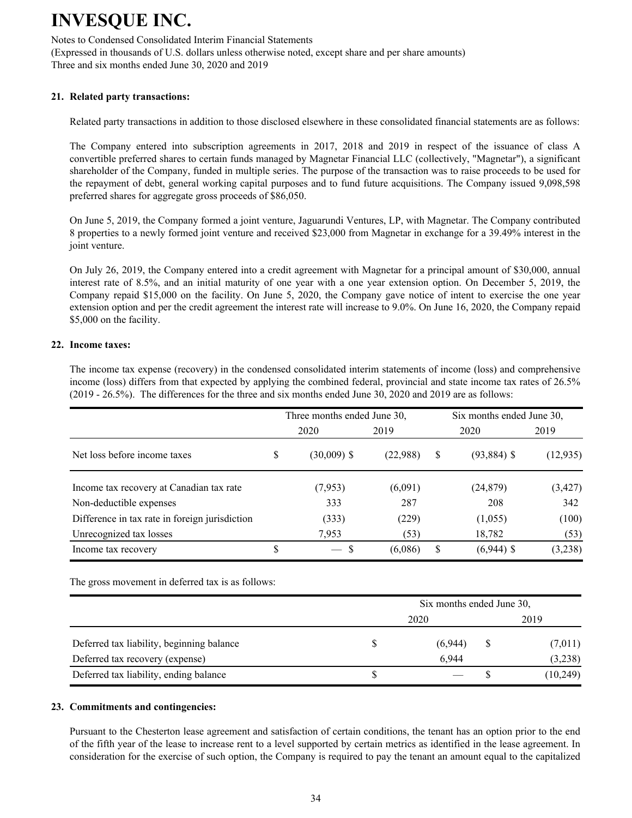Notes to Condensed Consolidated Interim Financial Statements (Expressed in thousands of U.S. dollars unless otherwise noted, except share and per share amounts) Three and six months ended June 30, 2020 and 2019

### **21. Related party transactions:**

Related party transactions in addition to those disclosed elsewhere in these consolidated financial statements are as follows:

The Company entered into subscription agreements in 2017, 2018 and 2019 in respect of the issuance of class A convertible preferred shares to certain funds managed by Magnetar Financial LLC (collectively, "Magnetar"), a significant shareholder of the Company, funded in multiple series. The purpose of the transaction was to raise proceeds to be used for the repayment of debt, general working capital purposes and to fund future acquisitions. The Company issued 9,098,598 preferred shares for aggregate gross proceeds of \$86,050.

On June 5, 2019, the Company formed a joint venture, Jaguarundi Ventures, LP, with Magnetar. The Company contributed 8 properties to a newly formed joint venture and received \$23,000 from Magnetar in exchange for a 39.49% interest in the joint venture.

On July 26, 2019, the Company entered into a credit agreement with Magnetar for a principal amount of \$30,000, annual interest rate of 8.5%, and an initial maturity of one year with a one year extension option. On December 5, 2019, the Company repaid \$15,000 on the facility. On June 5, 2020, the Company gave notice of intent to exercise the one year extension option and per the credit agreement the interest rate will increase to 9.0%. On June 16, 2020, the Company repaid \$5,000 on the facility.

### **22. Income taxes:**

The income tax expense (recovery) in the condensed consolidated interim statements of income (loss) and comprehensive income (loss) differs from that expected by applying the combined federal, provincial and state income tax rates of 26.5% (2019 - 26.5%). The differences for the three and six months ended June 30, 2020 and 2019 are as follows:

|                                                | Three months ended June 30, |          | Six months ended June 30, |               |           |  |  |
|------------------------------------------------|-----------------------------|----------|---------------------------|---------------|-----------|--|--|
|                                                | 2020                        | 2019     |                           | 2020          | 2019      |  |  |
| Net loss before income taxes                   | \$<br>$(30,009)$ \$         | (22,988) | S                         | $(93,884)$ \$ | (12, 935) |  |  |
| Income tax recovery at Canadian tax rate       | (7,953)                     | (6,091)  |                           | (24, 879)     | (3, 427)  |  |  |
| Non-deductible expenses                        | 333                         | 287      |                           | 208           | 342       |  |  |
| Difference in tax rate in foreign jurisdiction | (333)                       | (229)    |                           | (1,055)       | (100)     |  |  |
| Unrecognized tax losses                        | 7,953                       | (53)     |                           | 18,782        | (53)      |  |  |
| Income tax recovery                            | \$<br>$-$ \$                | (6,086)  | S                         | $(6,944)$ \$  | (3,238)   |  |  |

The gross movement in deferred tax is as follows:

|                                           | Six months ended June 30, |  |          |  |  |  |  |  |  |
|-------------------------------------------|---------------------------|--|----------|--|--|--|--|--|--|
|                                           | 2020                      |  | 2019     |  |  |  |  |  |  |
| Deferred tax liability, beginning balance | (6,944)                   |  | (7,011)  |  |  |  |  |  |  |
| Deferred tax recovery (expense)           | 6.944                     |  | (3,238)  |  |  |  |  |  |  |
| Deferred tax liability, ending balance    |                           |  | (10,249) |  |  |  |  |  |  |

#### **23. Commitments and contingencies:**

Pursuant to the Chesterton lease agreement and satisfaction of certain conditions, the tenant has an option prior to the end of the fifth year of the lease to increase rent to a level supported by certain metrics as identified in the lease agreement. In consideration for the exercise of such option, the Company is required to pay the tenant an amount equal to the capitalized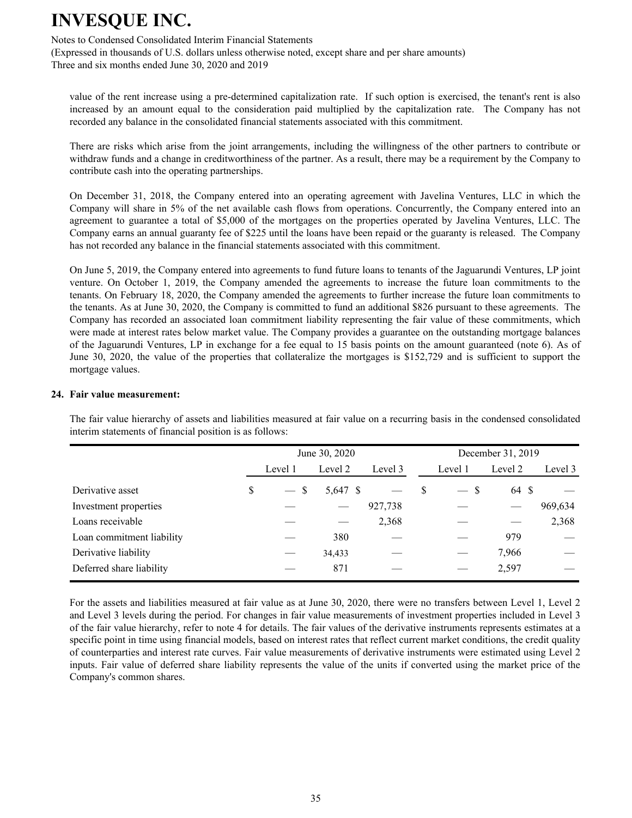Notes to Condensed Consolidated Interim Financial Statements

(Expressed in thousands of U.S. dollars unless otherwise noted, except share and per share amounts) Three and six months ended June 30, 2020 and 2019

value of the rent increase using a pre-determined capitalization rate. If such option is exercised, the tenant's rent is also increased by an amount equal to the consideration paid multiplied by the capitalization rate. The Company has not recorded any balance in the consolidated financial statements associated with this commitment.

There are risks which arise from the joint arrangements, including the willingness of the other partners to contribute or withdraw funds and a change in creditworthiness of the partner. As a result, there may be a requirement by the Company to contribute cash into the operating partnerships.

On December 31, 2018, the Company entered into an operating agreement with Javelina Ventures, LLC in which the Company will share in 5% of the net available cash flows from operations. Concurrently, the Company entered into an agreement to guarantee a total of \$5,000 of the mortgages on the properties operated by Javelina Ventures, LLC. The Company earns an annual guaranty fee of \$225 until the loans have been repaid or the guaranty is released. The Company has not recorded any balance in the financial statements associated with this commitment.

On June 5, 2019, the Company entered into agreements to fund future loans to tenants of the Jaguarundi Ventures, LP joint venture. On October 1, 2019, the Company amended the agreements to increase the future loan commitments to the tenants. On February 18, 2020, the Company amended the agreements to further increase the future loan commitments to the tenants. As at June 30, 2020, the Company is committed to fund an additional \$826 pursuant to these agreements. The Company has recorded an associated loan commitment liability representing the fair value of these commitments, which were made at interest rates below market value. The Company provides a guarantee on the outstanding mortgage balances of the Jaguarundi Ventures, LP in exchange for a fee equal to 15 basis points on the amount guaranteed (note 6). As of June 30, 2020, the value of the properties that collateralize the mortgages is \$152,729 and is sufficient to support the mortgage values.

#### **24. Fair value measurement:**

The fair value hierarchy of assets and liabilities measured at fair value on a recurring basis in the condensed consolidated interim statements of financial position is as follows:

|                           |   |         | June 30, 2020 |         | December 31, 2019 |         |         |         |  |  |
|---------------------------|---|---------|---------------|---------|-------------------|---------|---------|---------|--|--|
|                           |   | Level 1 | Level 2       | Level 3 |                   | Level 1 | Level 2 | Level 3 |  |  |
| Derivative asset          | S | $-$ \$  | 5,647 \$      |         | S                 | -S      | 64 \$   |         |  |  |
| Investment properties     |   |         |               | 927,738 |                   |         |         | 969,634 |  |  |
| Loans receivable          |   |         |               | 2,368   |                   |         |         | 2,368   |  |  |
| Loan commitment liability |   |         | 380           |         |                   |         | 979     |         |  |  |
| Derivative liability      |   |         | 34,433        |         |                   |         | 7,966   |         |  |  |
| Deferred share liability  |   |         | 871           |         |                   |         | 2,597   |         |  |  |

 For the assets and liabilities measured at fair value as at June 30, 2020, there were no transfers between Level 1, Level 2 and Level 3 levels during the period. For changes in fair value measurements of investment properties included in Level 3 of the fair value hierarchy, refer to note 4 for details. The fair values of the derivative instruments represents estimates at a specific point in time using financial models, based on interest rates that reflect current market conditions, the credit quality of counterparties and interest rate curves. Fair value measurements of derivative instruments were estimated using Level 2 inputs. Fair value of deferred share liability represents the value of the units if converted using the market price of the Company's common shares.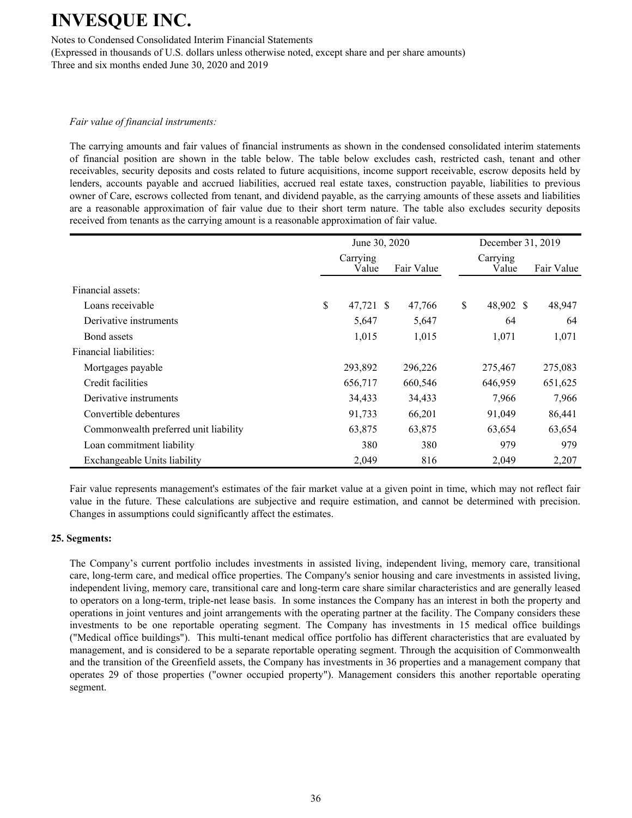Notes to Condensed Consolidated Interim Financial Statements

(Expressed in thousands of U.S. dollars unless otherwise noted, except share and per share amounts) Three and six months ended June 30, 2020 and 2019

#### *Fair value of financial instruments:*

The carrying amounts and fair values of financial instruments as shown in the condensed consolidated interim statements of financial position are shown in the table below. The table below excludes cash, restricted cash, tenant and other receivables, security deposits and costs related to future acquisitions, income support receivable, escrow deposits held by lenders, accounts payable and accrued liabilities, accrued real estate taxes, construction payable, liabilities to previous owner of Care, escrows collected from tenant, and dividend payable, as the carrying amounts of these assets and liabilities are a reasonable approximation of fair value due to their short term nature. The table also excludes security deposits received from tenants as the carrying amount is a reasonable approximation of fair value.

|                                       |                   | June 30, 2020 |     | December 31, 2019 |            |         |  |
|---------------------------------------|-------------------|---------------|-----|-------------------|------------|---------|--|
|                                       | Carrying<br>Value | Fair Value    |     | Carrying<br>Value | Fair Value |         |  |
| Financial assets:                     |                   |               |     |                   |            |         |  |
| Loans receivable                      | \$<br>47,721 \$   | 47,766        |     | \$<br>48,902 \$   |            | 48,947  |  |
| Derivative instruments                | 5,647             | 5,647         |     | 64                |            | 64      |  |
| Bond assets                           | 1,015             | 1,015         |     | 1,071             |            | 1,071   |  |
| Financial liabilities:                |                   |               |     |                   |            |         |  |
| Mortgages payable                     | 293,892           | 296,226       |     | 275,467           |            | 275,083 |  |
| Credit facilities                     | 656,717           | 660,546       |     | 646,959           |            | 651,625 |  |
| Derivative instruments                | 34,433            | 34,433        |     | 7,966             |            | 7,966   |  |
| Convertible debentures                | 91,733            | 66,201        |     | 91,049            |            | 86,441  |  |
| Commonwealth preferred unit liability | 63,875            | 63,875        |     | 63,654            |            | 63,654  |  |
| Loan commitment liability             | 380               |               | 380 | 979               |            | 979     |  |
| Exchangeable Units liability          | 2,049             |               | 816 | 2,049             |            | 2,207   |  |

Fair value represents management's estimates of the fair market value at a given point in time, which may not reflect fair value in the future. These calculations are subjective and require estimation, and cannot be determined with precision. Changes in assumptions could significantly affect the estimates.

#### **25. Segments:**

The Company's current portfolio includes investments in assisted living, independent living, memory care, transitional care, long-term care, and medical office properties. The Company's senior housing and care investments in assisted living, independent living, memory care, transitional care and long-term care share similar characteristics and are generally leased to operators on a long-term, triple-net lease basis. In some instances the Company has an interest in both the property and operations in joint ventures and joint arrangements with the operating partner at the facility. The Company considers these investments to be one reportable operating segment. The Company has investments in 15 medical office buildings ("Medical office buildings"). This multi-tenant medical office portfolio has different characteristics that are evaluated by management, and is considered to be a separate reportable operating segment. Through the acquisition of Commonwealth and the transition of the Greenfield assets, the Company has investments in 36 properties and a management company that operates 29 of those properties ("owner occupied property"). Management considers this another reportable operating segment.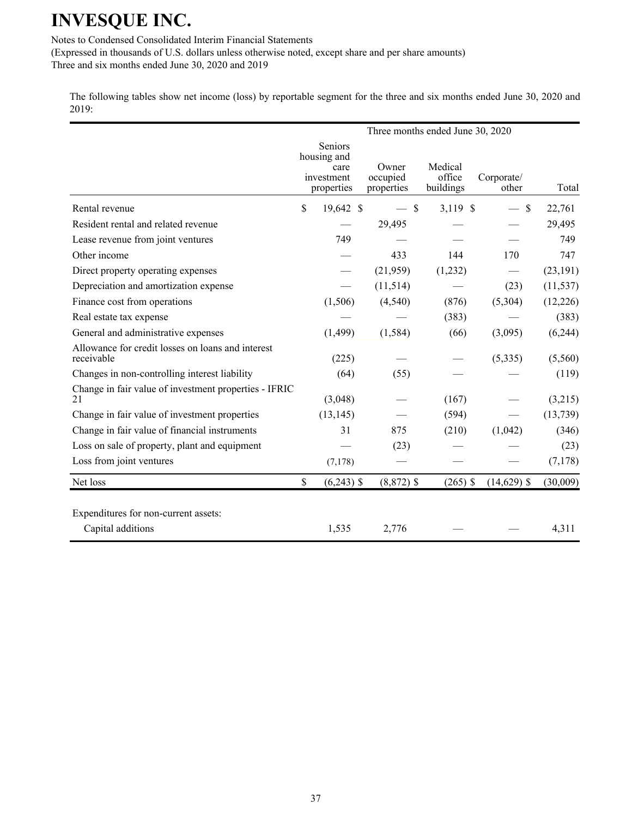Notes to Condensed Consolidated Interim Financial Statements

(Expressed in thousands of U.S. dollars unless otherwise noted, except share and per share amounts) Three and six months ended June 30, 2020 and 2019

The following tables show net income (loss) by reportable segment for the three and six months ended June 30, 2020 and 2019:

|                                                                 |               |                                                            |                                 | Three months ended June 30, 2020 |                     |           |
|-----------------------------------------------------------------|---------------|------------------------------------------------------------|---------------------------------|----------------------------------|---------------------|-----------|
|                                                                 |               | Seniors<br>housing and<br>care<br>investment<br>properties | Owner<br>occupied<br>properties | Medical<br>office<br>buildings   | Corporate/<br>other | Total     |
| Rental revenue                                                  | \$            | 19,642 \$                                                  | $-$ \$                          | 3,119 \$                         | $-$ \$              | 22,761    |
| Resident rental and related revenue                             |               |                                                            | 29,495                          |                                  |                     | 29,495    |
| Lease revenue from joint ventures                               |               | 749                                                        |                                 |                                  |                     | 749       |
| Other income                                                    |               |                                                            | 433                             | 144                              | 170                 | 747       |
| Direct property operating expenses                              |               |                                                            | (21,959)                        | (1,232)                          |                     | (23, 191) |
| Depreciation and amortization expense                           |               |                                                            | (11, 514)                       |                                  | (23)                | (11, 537) |
| Finance cost from operations                                    |               | (1,506)                                                    | (4,540)                         | (876)                            | (5,304)             | (12, 226) |
| Real estate tax expense                                         |               |                                                            |                                 | (383)                            |                     | (383)     |
| General and administrative expenses                             |               | (1, 499)                                                   | (1, 584)                        | (66)                             | (3,095)             | (6,244)   |
| Allowance for credit losses on loans and interest<br>receivable |               | (225)                                                      |                                 |                                  | (5,335)             | (5,560)   |
| Changes in non-controlling interest liability                   |               | (64)                                                       | (55)                            |                                  |                     | (119)     |
| Change in fair value of investment properties - IFRIC<br>21     |               | (3,048)                                                    |                                 | (167)                            |                     | (3,215)   |
| Change in fair value of investment properties                   |               | (13, 145)                                                  |                                 | (594)                            |                     | (13, 739) |
| Change in fair value of financial instruments                   |               | 31                                                         | 875                             | (210)                            | (1,042)             | (346)     |
| Loss on sale of property, plant and equipment                   |               |                                                            | (23)                            |                                  |                     | (23)      |
| Loss from joint ventures                                        |               | (7,178)                                                    |                                 |                                  |                     | (7,178)   |
| Net loss                                                        | $\mathsf{\$}$ | $(6,243)$ \$                                               | $(8,872)$ \$                    | $(265)$ \$                       | $(14,629)$ \$       | (30,009)  |
| Expenditures for non-current assets:                            |               |                                                            |                                 |                                  |                     |           |
| Capital additions                                               |               | 1,535                                                      | 2,776                           |                                  |                     | 4,311     |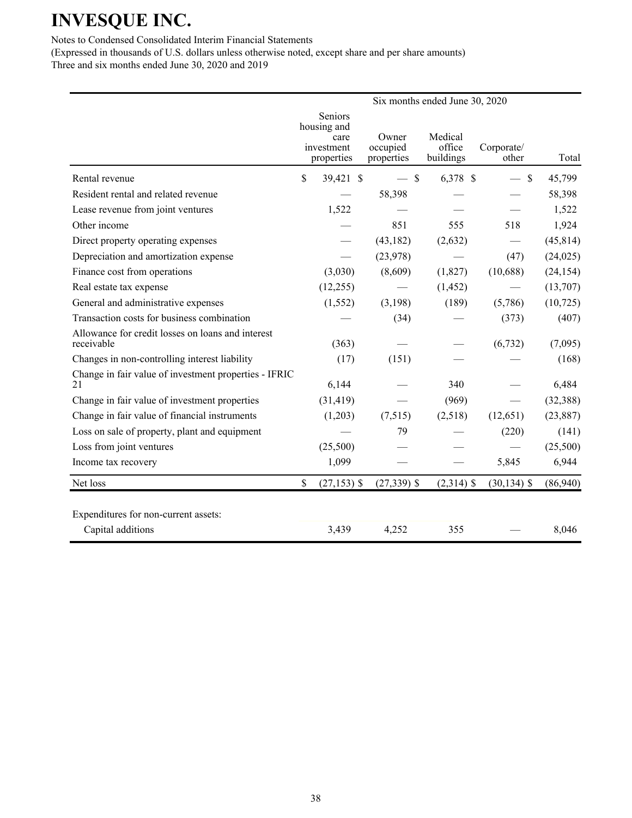### Notes to Condensed Consolidated Interim Financial Statements

(Expressed in thousands of U.S. dollars unless otherwise noted, except share and per share amounts) Three and six months ended June 30, 2020 and 2019

|                                                                 |                                                            | Six months ended June 30, 2020  |                                |                                |           |  |  |  |  |  |  |
|-----------------------------------------------------------------|------------------------------------------------------------|---------------------------------|--------------------------------|--------------------------------|-----------|--|--|--|--|--|--|
|                                                                 | Seniors<br>housing and<br>care<br>investment<br>properties | Owner<br>occupied<br>properties | Medical<br>office<br>buildings | Corporate/<br>other            | Total     |  |  |  |  |  |  |
| Rental revenue                                                  | \$<br>39,421 \$                                            | $-$ \$                          | 6,378 \$                       | $\mathcal{S}$<br>$\frac{1}{2}$ | 45,799    |  |  |  |  |  |  |
| Resident rental and related revenue                             |                                                            | 58,398                          |                                |                                | 58,398    |  |  |  |  |  |  |
| Lease revenue from joint ventures                               | 1,522                                                      |                                 |                                |                                | 1,522     |  |  |  |  |  |  |
| Other income                                                    |                                                            | 851                             | 555                            | 518                            | 1,924     |  |  |  |  |  |  |
| Direct property operating expenses                              |                                                            | (43, 182)                       | (2,632)                        |                                | (45, 814) |  |  |  |  |  |  |
| Depreciation and amortization expense                           |                                                            | (23,978)                        |                                | (47)                           | (24, 025) |  |  |  |  |  |  |
| Finance cost from operations                                    | (3,030)                                                    | (8,609)                         | (1,827)                        | (10,688)                       | (24, 154) |  |  |  |  |  |  |
| Real estate tax expense                                         | (12,255)                                                   |                                 | (1, 452)                       |                                | (13,707)  |  |  |  |  |  |  |
| General and administrative expenses                             | (1, 552)                                                   | (3,198)                         | (189)                          | (5,786)                        | (10, 725) |  |  |  |  |  |  |
| Transaction costs for business combination                      |                                                            | (34)                            |                                | (373)                          | (407)     |  |  |  |  |  |  |
| Allowance for credit losses on loans and interest<br>receivable | (363)                                                      |                                 |                                | (6, 732)                       | (7,095)   |  |  |  |  |  |  |
| Changes in non-controlling interest liability                   | (17)                                                       | (151)                           |                                |                                | (168)     |  |  |  |  |  |  |
| Change in fair value of investment properties - IFRIC<br>21     | 6,144                                                      |                                 | 340                            |                                | 6,484     |  |  |  |  |  |  |
| Change in fair value of investment properties                   | (31, 419)                                                  |                                 | (969)                          |                                | (32, 388) |  |  |  |  |  |  |
| Change in fair value of financial instruments                   | (1,203)                                                    | (7,515)                         | (2,518)                        | (12, 651)                      | (23, 887) |  |  |  |  |  |  |
| Loss on sale of property, plant and equipment                   |                                                            | 79                              |                                | (220)                          | (141)     |  |  |  |  |  |  |
| Loss from joint ventures                                        | (25,500)                                                   |                                 |                                |                                | (25,500)  |  |  |  |  |  |  |
| Income tax recovery                                             | 1,099                                                      |                                 |                                | 5,845                          | 6,944     |  |  |  |  |  |  |
| Net loss                                                        | \$<br>$(27, 153)$ \$                                       | $(27,339)$ \$                   | $(2,314)$ \$                   | $(30, 134)$ \$                 | (86,940)  |  |  |  |  |  |  |
| Expenditures for non-current assets:<br>Capital additions       | 3,439                                                      | 4,252                           | 355                            |                                | 8,046     |  |  |  |  |  |  |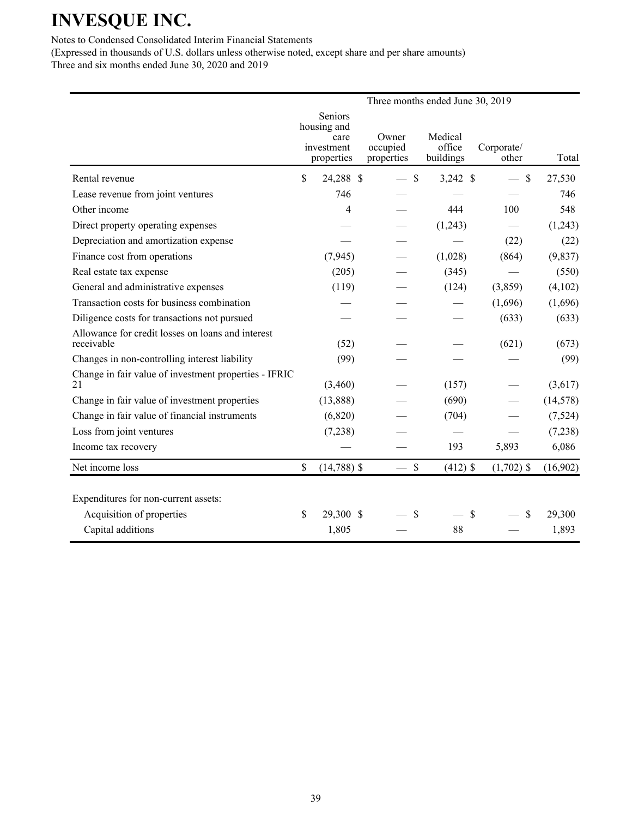### Notes to Condensed Consolidated Interim Financial Statements

(Expressed in thousands of U.S. dollars unless otherwise noted, except share and per share amounts) Three and six months ended June 30, 2020 and 2019

|                                                                 |                                                            |                                 |               | Three months ended June 30, 2019 |                     |           |
|-----------------------------------------------------------------|------------------------------------------------------------|---------------------------------|---------------|----------------------------------|---------------------|-----------|
|                                                                 | Seniors<br>housing and<br>care<br>investment<br>properties | Owner<br>occupied<br>properties |               | Medical<br>office<br>buildings   | Corporate/<br>other | Total     |
| Rental revenue                                                  | \$<br>24,288 \$                                            |                                 | $\mathcal{S}$ | $3,242$ \$                       | $\mathcal{S}$       | 27,530    |
| Lease revenue from joint ventures                               | 746                                                        |                                 |               |                                  |                     | 746       |
| Other income                                                    | 4                                                          |                                 |               | 444                              | 100                 | 548       |
| Direct property operating expenses                              |                                                            |                                 |               | (1,243)                          |                     | (1,243)   |
| Depreciation and amortization expense                           |                                                            |                                 |               |                                  | (22)                | (22)      |
| Finance cost from operations                                    | (7, 945)                                                   |                                 |               | (1,028)                          | (864)               | (9, 837)  |
| Real estate tax expense                                         | (205)                                                      |                                 |               | (345)                            |                     | (550)     |
| General and administrative expenses                             | (119)                                                      |                                 |               | (124)                            | (3,859)             | (4,102)   |
| Transaction costs for business combination                      |                                                            |                                 |               |                                  | (1,696)             | (1,696)   |
| Diligence costs for transactions not pursued                    |                                                            |                                 |               |                                  | (633)               | (633)     |
| Allowance for credit losses on loans and interest<br>receivable | (52)                                                       |                                 |               |                                  | (621)               | (673)     |
| Changes in non-controlling interest liability                   | (99)                                                       |                                 |               |                                  |                     | (99)      |
| Change in fair value of investment properties - IFRIC<br>21     | (3,460)                                                    |                                 |               | (157)                            |                     | (3,617)   |
| Change in fair value of investment properties                   | (13,888)                                                   |                                 |               | (690)                            |                     | (14, 578) |
| Change in fair value of financial instruments                   | (6,820)                                                    |                                 |               | (704)                            |                     | (7,524)   |
| Loss from joint ventures                                        | (7,238)                                                    |                                 |               |                                  |                     | (7,238)   |
| Income tax recovery                                             |                                                            |                                 |               | 193                              | 5,893               | 6,086     |
| Net income loss                                                 | \$<br>$(14,788)$ \$                                        |                                 | $\mathcal{S}$ | $(412)$ \$                       | $(1,702)$ \$        | (16,902)  |
| Expenditures for non-current assets:                            |                                                            |                                 |               |                                  |                     |           |
| Acquisition of properties                                       | \$<br>29,300 \$                                            |                                 | \$            | \$                               | \$                  | 29,300    |
| Capital additions                                               | 1,805                                                      |                                 |               | 88                               |                     | 1,893     |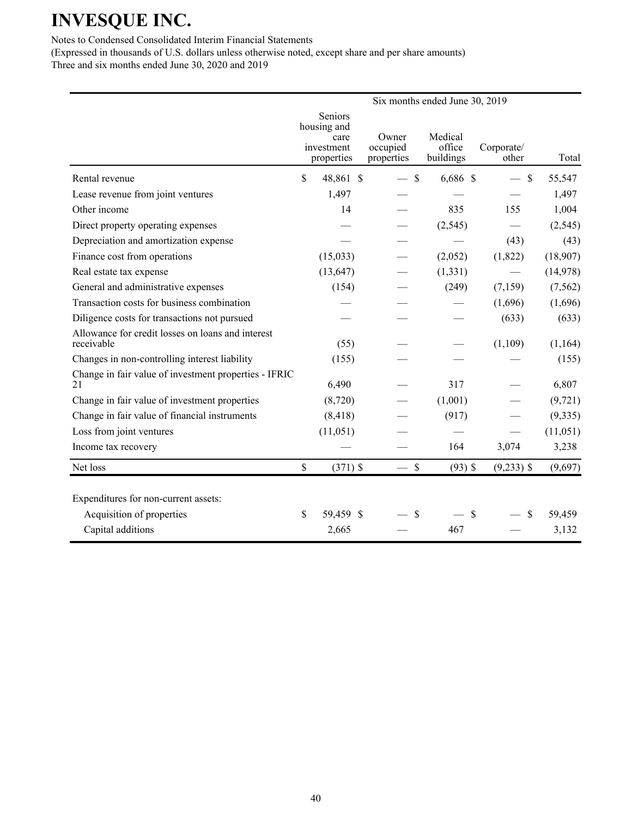### Notes to Condensed Consolidated Interim Financial Statements

(Expressed in thousands of U.S. dollars unless otherwise noted, except share and per share amounts) Three and six months ended June 30, 2020 and 2019

|                                                                 |             |                                                            |                                 | Six months ended June 30, 2019 |                     |           |
|-----------------------------------------------------------------|-------------|------------------------------------------------------------|---------------------------------|--------------------------------|---------------------|-----------|
|                                                                 |             | Seniors<br>housing and<br>care<br>investment<br>properties | Owner<br>occupied<br>properties | Medical<br>office<br>buildings | Corporate/<br>other | Total     |
| Rental revenue                                                  | \$          | 48,861 \$                                                  | $\mathbf S$                     | $6,686$ \$                     | $\mathcal{S}$       | 55,547    |
| Lease revenue from joint ventures                               |             | 1,497                                                      |                                 |                                |                     | 1,497     |
| Other income                                                    |             | 14                                                         |                                 | 835                            | 155                 | 1,004     |
| Direct property operating expenses                              |             |                                                            |                                 | (2, 545)                       |                     | (2, 545)  |
| Depreciation and amortization expense                           |             |                                                            |                                 |                                | (43)                | (43)      |
| Finance cost from operations                                    |             | (15,033)                                                   |                                 | (2,052)                        | (1,822)             | (18,907)  |
| Real estate tax expense                                         |             | (13, 647)                                                  |                                 | (1, 331)                       |                     | (14,978)  |
| General and administrative expenses                             |             | (154)                                                      |                                 | (249)                          | (7, 159)            | (7, 562)  |
| Transaction costs for business combination                      |             |                                                            |                                 |                                | (1,696)             | (1,696)   |
| Diligence costs for transactions not pursued                    |             |                                                            |                                 |                                | (633)               | (633)     |
| Allowance for credit losses on loans and interest<br>receivable |             | (55)                                                       |                                 |                                | (1,109)             | (1,164)   |
| Changes in non-controlling interest liability                   |             | (155)                                                      |                                 |                                |                     | (155)     |
| Change in fair value of investment properties - IFRIC<br>21     |             | 6,490                                                      |                                 | 317                            |                     | 6,807     |
| Change in fair value of investment properties                   |             | (8,720)                                                    |                                 | (1,001)                        |                     | (9, 721)  |
| Change in fair value of financial instruments                   |             | (8, 418)                                                   |                                 | (917)                          |                     | (9, 335)  |
| Loss from joint ventures                                        |             | (11, 051)                                                  |                                 |                                |                     | (11, 051) |
| Income tax recovery                                             |             |                                                            |                                 | 164                            | 3,074               | 3,238     |
| Net loss                                                        | $\mathbf S$ | $(371)$ \$                                                 | $-$ \$                          | $(93)$ \$                      | $(9,233)$ \$        | (9,697)   |
| Expenditures for non-current assets:                            |             |                                                            |                                 |                                |                     |           |
| Acquisition of properties                                       | \$          | 59,459 \$                                                  | $\mathcal{S}$                   | \$                             | \$                  | 59,459    |
| Capital additions                                               |             | 2,665                                                      |                                 | 467                            |                     | 3,132     |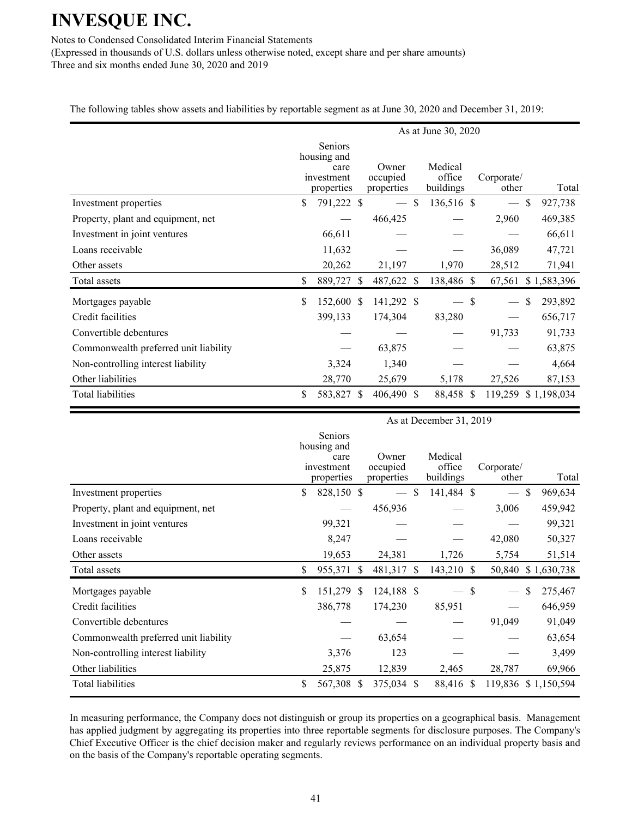Notes to Condensed Consolidated Interim Financial Statements

(Expressed in thousands of U.S. dollars unless otherwise noted, except share and per share amounts) Three and six months ended June 30, 2020 and 2019

The following tables show assets and liabilities by reportable segment as at June 30, 2020 and December 31, 2019:

|                                       | As at June 30, 2020 |                                                                   |  |                                 |    |                                |  |                          |                          |  |
|---------------------------------------|---------------------|-------------------------------------------------------------------|--|---------------------------------|----|--------------------------------|--|--------------------------|--------------------------|--|
|                                       |                     | <b>Seniors</b><br>housing and<br>care<br>investment<br>properties |  | Owner<br>occupied<br>properties |    | Medical<br>office<br>buildings |  | Corporate/<br>other      | Total                    |  |
| Investment properties                 | \$                  | 791,222 \$                                                        |  |                                 | \$ | 136,516 \$                     |  | $\overline{\phantom{a}}$ | <sup>\$</sup><br>927,738 |  |
| Property, plant and equipment, net    |                     |                                                                   |  | 466,425                         |    |                                |  | 2,960                    | 469,385                  |  |
| Investment in joint ventures          |                     | 66,611                                                            |  |                                 |    |                                |  |                          | 66,611                   |  |
| Loans receivable                      |                     | 11,632                                                            |  |                                 |    |                                |  | 36,089                   | 47,721                   |  |
| Other assets                          |                     | 20,262                                                            |  | 21,197                          |    | 1,970                          |  | 28,512                   | 71,941                   |  |
| Total assets                          | \$                  | 889,727 \$                                                        |  | 487,622 \$                      |    | 138,486 \$                     |  | 67,561                   | \$1,583,396              |  |
| Mortgages payable                     | \$                  | 152,600 \$                                                        |  | 141,292 \$                      |    | $-$ \$                         |  | $\overline{\phantom{0}}$ | <sup>\$</sup><br>293,892 |  |
| Credit facilities                     |                     | 399,133                                                           |  | 174,304                         |    | 83,280                         |  |                          | 656,717                  |  |
| Convertible debentures                |                     |                                                                   |  |                                 |    |                                |  | 91,733                   | 91,733                   |  |
| Commonwealth preferred unit liability |                     |                                                                   |  | 63,875                          |    |                                |  |                          | 63,875                   |  |
| Non-controlling interest liability    |                     | 3,324                                                             |  | 1,340                           |    |                                |  |                          | 4,664                    |  |
| Other liabilities                     |                     | 28,770                                                            |  | 25,679                          |    | 5,178                          |  | 27,526                   | 87,153                   |  |
| <b>Total liabilities</b>              | \$                  | 583,827 \$                                                        |  | 406,490 \$                      |    | 88,458 \$                      |  |                          | 119,259 \$1,198,034      |  |

|                                       | As at December 31, 2019 |                                                            |    |                                 |              |                                |  |                     |    |             |  |
|---------------------------------------|-------------------------|------------------------------------------------------------|----|---------------------------------|--------------|--------------------------------|--|---------------------|----|-------------|--|
|                                       |                         | Seniors<br>housing and<br>care<br>investment<br>properties |    | Owner<br>occupied<br>properties |              | Medical<br>office<br>buildings |  | Corporate/<br>other |    | Total       |  |
| Investment properties                 | \$                      | 828,150 \$                                                 |    |                                 | \$.          | 141,484 \$                     |  |                     | \$ | 969,634     |  |
| Property, plant and equipment, net    |                         |                                                            |    | 456,936                         |              |                                |  | 3,006               |    | 459,942     |  |
| Investment in joint ventures          |                         | 99,321                                                     |    |                                 |              |                                |  |                     |    | 99,321      |  |
| Loans receivable                      |                         | 8,247                                                      |    |                                 |              |                                |  | 42,080              |    | 50,327      |  |
| Other assets                          |                         | 19,653                                                     |    | 24,381                          |              | 1,726                          |  | 5,754               |    | 51,514      |  |
| Total assets                          | \$                      | 955,371                                                    | -S | 481,317                         | <sup>S</sup> | 143,210 \$                     |  | 50,840              |    | \$1,630,738 |  |
| Mortgages payable                     | \$                      | 151,279 \$                                                 |    | 124,188 \$                      |              | $-$ \$                         |  |                     | \$ | 275,467     |  |
| Credit facilities                     |                         | 386,778                                                    |    | 174,230                         |              | 85,951                         |  |                     |    | 646,959     |  |
| Convertible debentures                |                         |                                                            |    |                                 |              |                                |  | 91,049              |    | 91,049      |  |
| Commonwealth preferred unit liability |                         |                                                            |    | 63,654                          |              |                                |  |                     |    | 63,654      |  |
| Non-controlling interest liability    |                         | 3,376                                                      |    | 123                             |              |                                |  |                     |    | 3,499       |  |
| Other liabilities                     |                         | 25,875                                                     |    | 12,839                          |              | 2,465                          |  | 28,787              |    | 69,966      |  |
| Total liabilities                     | \$                      | 567,308 \$                                                 |    | 375,034 \$                      |              | 88,416 \$                      |  | 119,836 \$1,150,594 |    |             |  |

In measuring performance, the Company does not distinguish or group its properties on a geographical basis. Management has applied judgment by aggregating its properties into three reportable segments for disclosure purposes. The Company's Chief Executive Officer is the chief decision maker and regularly reviews performance on an individual property basis and on the basis of the Company's reportable operating segments.